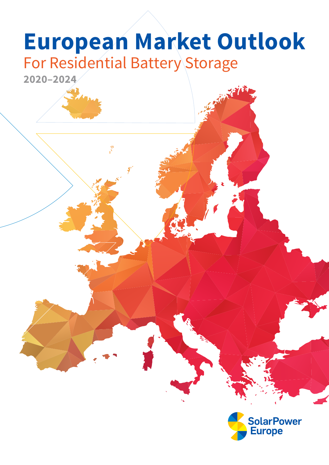## **European Market Outlook** For Residential Battery Storage



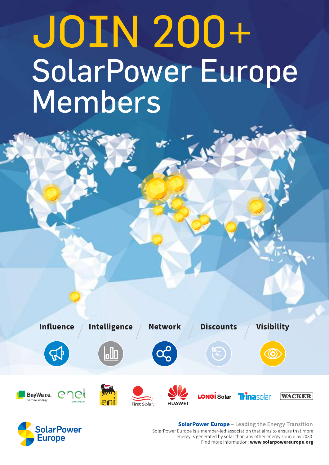## **JOIN 200+** SolarPower Europe Members





**SolarPower Europe** - Leading the Energy Transition SolarPower Europe is a member-led association that aims to ensure that more energy is generated by solar than any other energy source by 2030. Find more information: www.solarpowereurope.org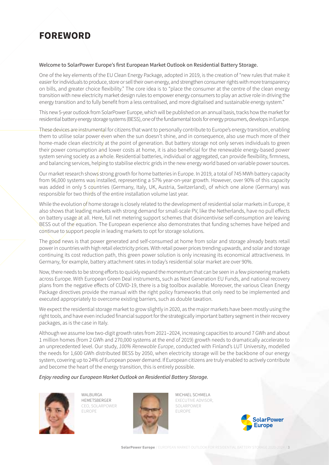## <span id="page-2-0"></span>**FOREWORD**

#### Welcome to SolarPower Europe's first European Market Outlook on Residential Battery Storage.

One of the key elements of the EU Clean Energy Package, adopted in 2019, is the creation of "new rules that make it easier for individuals to produce, store or sell their own energy, and strengthen consumer rights with more transparency on bills, and greater choice flexibility." The core idea is to "place the consumer at the centre of the clean energy transition with new electricity market design rules to empower energy consumers to play an active role in driving the energy transition and to fully benefit from a less centralised, and more digitalised and sustainable energy system."

This new 5-year outlook from SolarPower Europe, which will be published on an annual basis, tracks how the market for residential battery energy storage systems (BESS), one of the fundamental tools for energy prosumers, develops in Europe.

These devices are instrumental for citizens that want to personally contribute to Europe's energy transition, enabling them to utilise solar power even when the sun doesn't shine, and in consequence, also use much more of their home-made clean electricity at the point of generation. But battery storage not only serves individuals to green their power consumption and lower costs at home, it is also beneficial for the renewable energy-based power system serving society as a whole. Residential batteries, individual or aggregated, can provide flexibility, firmness, and balancing services, helping to stabilise electric grids in the new energy world based on variable power sources.

Our market research shows strong growth for home batteries in Europe. In 2019, a total of 745 MWh battery capacity from 96,000 systems was installed, representing a 57% year-on-year growth. However, over 90% of this capacity was added in only 5 countries (Germany, Italy, UK, Austria, Switzerland), of which one alone (Germany) was responsible for two thirds of the entire installation volume last year.

While the evolution of home storage is closely related to the development of residential solar markets in Europe, it also shows that leading markets with strong demand for small-scale PV, like the Netherlands, have no pull effects on battery usage at all. Here, full net metering support schemes that disincentivise self-consumption are leaving BESS out of the equation. The European experience also demonstrates that funding schemes have helped and continue to support people in leading markets to opt for storage solutions.

The good news is that power generated and self-consumed at home from solar and storage already beats retail power in countries with high retail electricity prices. With retail power prices trending upwards, and solar and storage continuing its cost reduction path, this green power solution is only increasing its economical attractiveness. In Germany, for example, battery attachment rates in today's residential solar market are over 90%.

Now, there needs to be strong efforts to quickly expand the momentum that can be seen in a few pioneering markets across Europe. With European Green Deal instruments, such as Next Generation EU Funds, and national recovery plans from the negative effects of COVID-19, there is a big toolbox available. Moreover, the various Clean Energy Package directives provide the manual with the right policy frameworks that only need to be implemented and executed appropriately to overcome existing barriers, such as double taxation.

We expect the residential storage market to grow slightly in 2020, as the major markets have been mostly using the right tools, and have even included financial support for the strategically important battery segment in their recovery packages, as is the case in Italy.

Although we assume low two-digit growth rates from 2021–2024, increasing capacities to around 7 GWh and about 1 million homes (from 2 GWh and 270,000 systems at the end of 2019) growth needs to dramatically accelerate to an unprecedented level. Our study, 100% Renewable Europe, conducted with Finland's LUT University, modelled the needs for 1,600 GWh distributed BESS by 2050, when electricity storage will be the backbone of our energy system, covering up to 24% of European power demand. If European citizens are truly enabled to actively contribute and become the heart of the energy transition, this is entirely possible.

#### Enjoy reading our European Market Outlook on Residential Battery Storage.



WALBURGA HEMETSBERGER CEO, SOLARPOWER EUROPE



MICHAEL SCHMELA EXECUTIVE ADVISOR, SOLARPOWER EUROPE

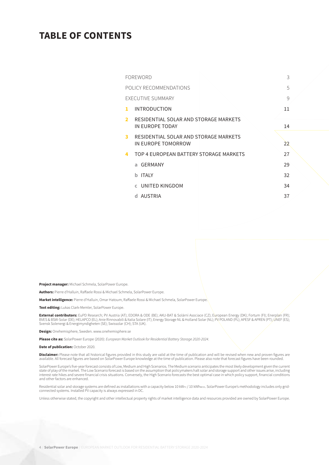### **TABLE OF CONTENTS**

|                | FOREWORD                                                    | 3             |
|----------------|-------------------------------------------------------------|---------------|
|                | POLICY RECOMMENDATIONS                                      | 5             |
|                | <b>EXECUTIVE SUMMARY</b>                                    | $\mathcal{Q}$ |
| 1              | <b>INTRODUCTION</b>                                         | 11            |
| $\overline{2}$ | RESIDENTIAL SOLAR AND STORAGE MARKETS                       |               |
|                | IN FUROPE TODAY                                             | 14            |
| 3              | RESIDENTIAL SOLAR AND STORAGE MARKETS<br>IN EUROPE TOMORROW | 22            |
| 4              | TOP 4 EUROPEAN BATTERY STORAGE MARKETS                      | 27            |
|                | a GFRMANY                                                   | 29            |
|                | <b>ITAIY</b><br>h                                           | 32            |
|                | <b>C</b> UNITED KINGDOM                                     | 34            |
|                | AUSTRIA<br>d.                                               | 37            |
|                |                                                             |               |

**Project manager:** Michael Schmela, SolarPower Europe.

**Authors:** Pierre d'Halluin, Raffaele Rossi & Michael Schmela, SolarPower Europe.

**Market intelligence:** Pierre d'Halluin, Omar Hatoum, Raffaele Rossi & Michael Schmela, SolarPower Europe.

**Text editing:** Lukas Clark-Memler, SolarPower Europe.

**External contributors:** EuPD Research; PV Austria (AT); EDORA & ODE (BE); AKU-BAT & Solární Asociace (CZ); European Energy (DK); Fortum (FI); Enerplan (FR);<br>BVES & BSW-Solar (DE); HELAPCO (EL); Anie Rinnovabili & Italia S Svensk Solenergi & Energimyndigheten (SE); Swissolar (CH); STA (UK).

**Design:** Onehemisphere, Sweden.<www.onehemisphere.se>

**Please cite as:** SolarPower Europe (2020): European Market Outlook for Residential Battery Storage 2020-2024.

**Date of publication:** October 2020.

Disclaimer: Please note that all historical figures provided in this study are valid at the time of publication and will be revised when new and proven figures are available. All forecast figures are based on SolarPower Europe knowledge at the time of publication. Please also note that forecast figures have been rounded.

SolarPower Europe's five-year forecast consists of Low, Medium and High Scenarios. The Medium scenario anticipates the most likely development given the current<br>state of play of the market. The Low Scenario forecast is bas interest rate hikes and severe financial crisis situations. Conversely, the High Scenario forecasts the best optimal case in which policy support, financial conditions and other factors are enhanced.

Residential solar and storage systems are defined as installations with a capacity below 10 kWrv / 10 kWhßess. SolarPower Europe's methodology includes only grid-<br>connected systems. Installed PV capacity is always express

Unless otherwise stated, the copyright and other intellectual property rights of market intelligence data and resources provided are owned by SolarPower Europe.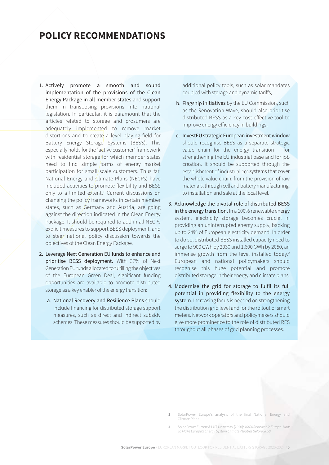### <span id="page-4-0"></span>**POLICY RECOMMENDATIONS**

- 1. Actively promote a smooth and sound implementation of the provisions of the Clean Energy Package in all member states and support them in transposing provisions into national legislation. In particular, it is paramount that the articles related to storage and prosumers are adequately implemented to remove market distortions and to create a level playing field for Battery Energy Storage Systems (BESS). This especially holds for the "active customer" framework with residential storage for which member states need to find simple forms of energy market participation for small/scale customers. Thus far, National Energy and Climate Plans (NECPs) have included activities to promote flexibility and BESS only to a limited extent.<sup>1</sup> Current discussions on changing the policy frameworks in certain member states, such as Germany and Austria, are going against the direction indicated in the Clean Energy Package. It should be required to add in all NECPs explicit measures to support BESS deployment, and to steer national policy discussion towards the objectives of the Clean Energy Package.
- 2. Leverage Next Generation EU funds to enhance and prioritise BESS deployment. With 37% of Next Generation EU funds allocated to fulfilling the objectives of the European Green Deal, significant funding opportunities are available to promote distributed storage as a key enabler of the energy transition:
	- a. National Recovery and Resilience Plans should include financing for distributed storage support measures, such as direct and indirect subsidy schemes. These measures should be supported by

additional policy tools, such as solar mandates coupled with storage and dynamic tariffs;

- b. Flagship initiatives by the EU Commission, such as the Renovation Wave, should also prioritise distributed BESS as a key cost-effective tool to improve energy efficiency in buildings;
- c. InvestEU strategic European investment window should recognise BESS as a separate strategic value chain for the energy transition – for strengthening the EU industrial base and for job creation. It should be supported through the establishment of industrial ecosystems that cover the whole value chain: from the provision of raw materials, through cell and battery manufacturing, to installation and sale at the local level.
- 3. Acknowledge the pivotal role of distributed BESS in the energy transition. In a 100% renewable energy system, electricity storage becomes crucial in providing an uninterrupted energy supply, backing up to 24% of European electricity demand. In order to do so, distributed BESS installed capacity need to surge to 900 GWh by 2030 and 1,600 GWh by 2050, an immense growth from the level installed today.<sup>2</sup> European and national policymakers should recognise this huge potential and promote distributed storage in their energy and climate plans.
- 4. Modernise the grid for storage to fulfil its full potential in providing flexibility to the energy system. Increasing focus is needed on strengthening the distribution grid level and for the rollout of smart meters. Network operators and policymakers should give more prominence to the role of distributed RES throughout all phases of grid planning processes.

**<sup>1</sup>** SolarPower Europe's analysis of the final National Energy and Climate Plans.

**<sup>2</sup>** Solar Power Europe & LUT University (2020): 100% Renewable Europe: How To Make Europe's Energy System Climate-Neutral Before 2050.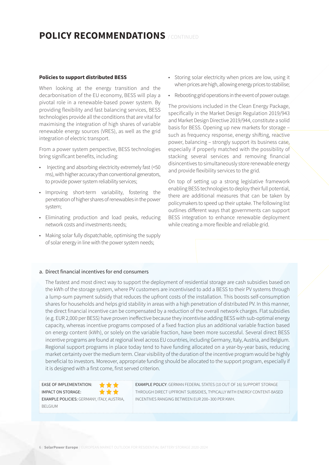## **POLICY RECOMMENDATIONS** / CONTINUED

#### **Policies to support distributed BESS**

When looking at the energy transition and the decarbonisation of the EU economy, BESS will play a pivotal role in a renewable-based power system. By providing flexibility and fast balancing services, BESS technologies provide all the conditions that are vital for maximising the integration of high shares of variable renewable energy sources (VRES), as well as the grid integration of electric transport.

From a power system perspective, BESS technologies bring significant benefits, including:

- Injecting and absorbing electricity extremely fast (<50 ms), with higher accuracy than conventional generators, to provide power system reliability services;
- Improving short-term variability, fostering the penetration of higher shares of renewables in the power system;
- Eliminating production and load peaks, reducing network costs and investments needs;
- Making solar fully dispatchable, optimising the supply of solar energy in line with the power system needs;
- Storing solar electricity when prices are low, using it when prices are high, allowing energy prices to stabilise;
- Rebooting grid operations in the event of power outage.

The provisions included in the Clean Energy Package, specifically in the Market Design Regulation 2019/943 and Market Design Directive 2019/944, constitute a solid basis for BESS. Opening up new markets for storage – such as frequency response, energy shifting, reactive power, balancing – strongly support its business case, especially if properly matched with the possibility of stacking several services and removing financial disincentives to simultaneously store renewable energy and provide flexibility services to the grid.

On top of setting up a strong legislative framework enabling BESS technologies to deploy their full potential, there are additional measures that can be taken by policymakers to speed up their uptake. The following list outlines different ways that governments can support BESS integration to enhance renewable deployment while creating a more flexible and reliable grid.

#### a. Direct financial incentives for end consumers

The fastest and most direct way to support the deployment of residential storage are cash subsidies based on the kWh of the storage system, where PV customers are incentivised to add a BESS to their PV systems through a lump-sum payment subsidy that reduces the upfront costs of the installation. This boosts self-consumption shares for households and helps grid stability in areas with a high penetration of distributed PV. In this manner, the direct financial incentive can be compensated by a reduction of the overall network charges. Flat subsidies (e.g. EUR 2,000 per BESS) have proven ineffective because they incentivise adding BESS with sub-optimal energy capacity, whereas incentive programs composed of a fixed fraction plus an additional variable fraction based on energy content (kWh), or solely on the variable fraction, have been more successful. Several direct BESS incentive programs are found at regional level across EU countries, including Germany, Italy, Austria, and Belgium. Regional support programs in place today tend to have funding allocated on a year-by-year basis, reducing market certainty over the medium term. Clear visibility of the duration of the incentive program would be highly beneficial to investors. Moreover, appropriate funding should be allocated to the support program, especially if it is designed with a first come, first served criterion.

EASE OF IMPLEMENTATION: IMPACT ON STORAGE: \*\*\* EXAMPLE POLICIES: GERMANY, ITALY, AUSTRIA, BELGIUM

EXAMPLE POLICY: GERMAN FEDERAL STATES (10 OUT OF 16) SUPPORT STORAGE THROUGH DIRECT UPFRONT SUBSIDIES, TYPICALLY WITH ENERGY CONTENT-BASED INCENTIVES RANGING BETWEEN EUR 200–300 PER KWH.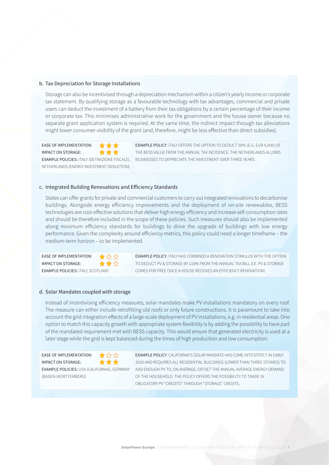#### b. Tax Depreciation for Storage Installations

Storage can also be incentivised through a depreciation mechanism within a citizen's yearly income or corporate tax statement. By qualifying storage as a favourable technology with tax advantages, commercial and private users can deduct the investment of a battery from their tax obligations by a certain percentage of their income or corporate tax. This minimises administrative work for the government and the house owner because no separate grant application system is required. At the same time, the indirect impact through tax alleviations might lower consumer visibility of the grant (and, therefore, might be less effective than direct subsidies).

EASE OF IMPLEMENTATION: IMPACT ON STORAGE: ★ ★ ★ EXAMPLE POLICIES: ITALY (DETRAZIONE FISCALE), NETHERLANDS (ENERGY INVESTMENT DEDUCTION)

EXAMPLE POLICY: ITALY OFFERS THE OPTION TO DEDUCT 50% (E.G. EUR 4,000) OF THE BESS VALUE FROM THE ANNUAL TAX INCIDENCE. THE NETHERLANDS ALLOWS BUSINESSES TO DEPRECIATE THE INVESTMENT OVER THREE YEARS.

#### c. Integrated Building Renovations and Efficiency Standards

States can offer grants for private and commercial customers to carry out integrated renovations to decarbonise buildings. Alongside energy efficiency improvements and the deployment of on-site renewables, BESS technologies are cost-effective solutions that deliver high energy efficiency and increase self-consumption rates and should be therefore included in the scope of these policies. Such measures should also be implemented along minimum efficiency standards for buildings to drive the upgrade of buildings with low energy performance. Given the complexity around efficiency metrics, this policy could need a longer timeframe – the medium-term horizon – to be implemented.

EASE OF IMPLEMENTATION:  $\qquad \qquad \qquad \qquad$ IMPACT ON STORAGE: ★★☆ **EXAMPLE POLICIES:** ITALY, SCOTLAND

EXAMPLE POLICY: ITALY HAS COMBINED A RENOVATION STIMULUS WITH THE OPTION TO DEDUCT PV & STORAGE BY 110% FROM THE ANNUAL TAX BILL (I.E. PV & STORAGE COMES FOR FREE ONCE A HOUSE RECEIVES AN EFFICIENCY RENOVATION).

#### d. Solar Mandates coupled with storage

Instead of incentivising efficiency measures, solar mandates make PV installations mandatory on every roof. The measure can either include retrofitting old roofs or only future constructions. It is paramount to take into account the grid integration effects of a large-scale deployment of PV installations, e.g. in residential areas. One option to match this capacity growth with appropriate system flexibility is by adding the possibility to have part of the mandated requirement met with BESS capacity. This would ensure that generated electricity is used at a later stage while the grid is kept balanced during the times of high production and low consumption.

| <b>EASE OF IMPLEMENTATION:</b>              | ★☆☆ |
|---------------------------------------------|-----|
| <b>IMPACT ON STORAGE:</b>                   | *** |
| EXAMPLE POLICIES: USA (CALIFORNIA), GERMANY |     |
| (BADEN-WÜRTTEMBERG)                         |     |

EXAMPLE POLICY: CALIFORNIA'S SOLAR MANDATE HAS COME INTO EFFECT IN EARLY 2020 AND REQUIRES ALL RESIDENTIAL BUILDINGS (LOWER THAN THREE STORIES) TO ADD ENOUGH PV TO, ON AVERAGE, OFFSET THE ANNUAL AVERAGE ENERGY DEMAND OF THE HOUSEHOLD. THE POLICY OFFERS THE POSSIBILITY TO TRADE IN OBLIGATORY PV "CREDITS" THROUGH "STORAGE" CREDITS.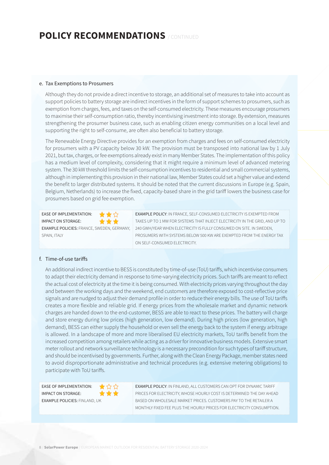## **POLICY RECOMMENDATIONS** / CONTINUED

#### e. Tax Exemptions to Prosumers

Although they do not provide a direct incentive to storage, an additional set of measures to take into account as support policies to battery storage are indirect incentives in the form of support schemes to prosumers, such as exemption from charges, fees, and taxes on the self-consumed electricity. These measures encourage prosumers to maximise their self-consumption ratio, thereby incentivising investment into storage. By extension, measures strengthening the prosumer business case, such as enabling citizen energy communities on a local level and supporting the right to self-consume, are often also beneficial to battery storage.

The Renewable Energy Directive provides for an exemption from charges and fees on self-consumed electricity for prosumers with a PV capacity below 30 kW. The provision must be transposed into national law by 1 July 2021, but tax, charges, or fee exemptions already exist in many Member States. The implementation of this policy has a medium level of complexity, considering that it might require a minimum level of advanced metering system. The 30 kW threshold limits the self-consumption incentives to residential and small commercial systems, although in implementing this provision in their national law, Member States could set a higher value and extend the benefit to larger distributed systems. It should be noted that the current discussions in Europe (e.g. Spain, Belgium, Netherlands) to increase the fixed, capacity-based share in the grid tariff lowers the business case for prosumers based on grid fee exemption.

EASE OF IMPLEMENTATION: ★★☆ IMPACT ON STORAGE: \*\*\* EXAMPLE POLICIES: FRANCE, SWEDEN, GERMANY, SPAIN, **ITALY** 

EXAMPLE POLICY: IN FRANCE, SELF-CONSUMED ELECTRICITY IS EXEMPTED FROM TAXES UP TO 1 MW FOR SYSTEMS THAT INJECT ELECTRICITY IN THE GRID, AND UP TO 240 GWH/YEAR WHEN ELECTRICITY IS FULLY CONSUMED ON SITE. IN SWEDEN, PROSUMERS WITH SYSTEMS BELOW 500 KW ARE EXEMPTED FROM THE ENERGY TAX ON SELF-CONSUMED ELECTRICITY.

#### f. Time-of-use tariffs

An additional indirect incentive to BESS is constituted by time-of-use (ToU) tariffs, which incentivise consumers to adapt their electricity demand in response to time-varying electricity prices. Such tariffs are meant to reflect the actual cost of electricity at the time it is being consumed. With electricity prices varying throughout the day and between the working days and the weekend, end customers are therefore exposed to cost-reflective price signals and are nudged to adjust their demand profile in order to reduce their energy bills. The use of ToU tariffs creates a more flexible and reliable grid. If energy prices from the wholesale market and dynamic network charges are handed down to the end-customer, BESS are able to react to these prices. The battery will charge and store energy during low prices (high generation, low demand). During high prices (low generation, high demand), BESS can either supply the household or even sell the energy back to the system if energy arbitrage is allowed. In a landscape of more and more liberalised EU electricity markets, ToU tariffs benefit from the increased competition among retailers while acting as a driver for innovative business models. Extensive smart meter rollout and network surveillance technology is a necessary precondition for such types of tariff structure, and should be incentivised by governments. Further, along with the Clean Energy Package, member states need to avoid disproportionate administrative and technical procedures (e.g. extensive metering obligations) to participate with ToU tariffs.

EASE OF IMPLEMENTATION: ★☆☆ IMPACT ON STORAGE: \*\*\* EXAMPLE POLICIES: FINLAND, UK

EXAMPLE POLICY: IN FINLAND, ALL CUSTOMERS CAN OPT FOR DYNAMIC TARIFF PRICES FOR ELECTRICITY, WHOSE HOURLY COST IS DETERMINED THE DAY AHEAD BASED ON WHOLESALE MARKET PRICES. CUSTOMERS PAY TO THE RETAILER A MONTHLY FIXED FEE PLUS THE HOURLY PRICES FOR ELECTRICITY CONSUMPTION.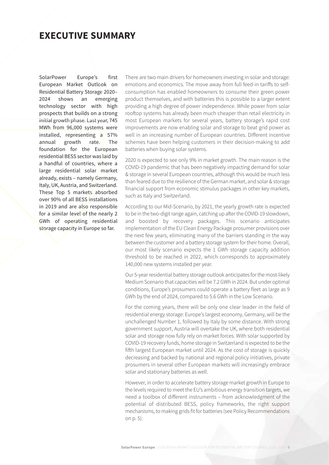### <span id="page-8-0"></span>**EXECUTIVE SUMMARY**

SolarPower Europe's first European Market Outlook on Residential Battery Storage 2020– 2024 shows an emerging technology sector with high prospects that builds on a strong initial growth phase. Last year, 745 MWh from 96,000 systems were installed, representing a 57% annual growth rate. The foundation for the European residential BESS sector was laid by a handful of countries, where a large residential solar market already, exists – namely Germany, Italy, UK, Austria, and Switzerland. These Top 5 markets absorbed over 90% of all BESS installations in 2019 and are also responsible for a similar level of the nearly 2 GWh of operating residential storage capacity in Europe so far.

There are two main drivers for homeowners investing in solar and storage: emotions and economics. The move away from full feed-in tariffs to selfconsumption has enabled homeowners to consume their green power product themselves, and with batteries this is possible to a larger extent providing a high degree of power independence. While power from solar rooftop systems has already been much cheaper than retail electricity in most European markets for several years, battery storage's rapid cost improvements are now enabling solar and storage to beat grid power as well in an increasing number of European countries. Different incentive schemes have been helping customers in their decision-making to add batteries when buying solar systems.

2020 is expected to see only 9% in market growth. The main reason is the COVID-19 pandemic that has been negatively impacting demand for solar & storage in several European countries, although this would be much less than feared due to the resilience of the German market, and solar & storage financial support from economic stimulus packages in other key markets, such as Italy and Switzerland.

According to our Mid-Scenario, by 2021, the yearly growth rate is expected to be in the two-digit range again, catching up after the COVID-19 slowdown, and boosted by recovery packages. This scenario anticipates implementation of the EU Clean Energy Package prosumer provisions over the next few years, eliminating many of the barriers standing in the way between the customer and a battery storage system for their home. Overall, our most likely scenario expects the 1 GWh storage capacity addition threshold to be reached in 2022, which corresponds to approximately 140,000 new systems installed per year.

Our 5-year residential battery storage outlook anticipates for the most-likely Medium Scenario that capacities will be 7.2 GWh in 2024. But under optimal conditions, Europe's prosumers could operate a battery fleet as large as 9 GWh by the end of 2024, compared to 5.6 GWh in the Low Scenario.

For the coming years, there will be only one clear leader in the field of residential energy storage: Europe's largest economy, Germany, will be the unchallenged Number 1, followed by Italy by some distance. With strong government support, Austria will overtake the UK, where both residential solar and storage now fully rely on market forces. With solar supported by COVID-19 recovery funds, home storage in Switzerland is expected to be the fifth largest European market until 2024. As the cost of storage is quickly decreasing and backed by national and regional policy initiatives, private prosumers in several other European markets will increasingly embrace solar and stationary batteries as well.

However, in order to accelerate battery storage market growth in Europe to the levels required to meet the EU's ambitious energy transition targets, we need a toolbox of different instruments – from acknowledgment of the potential of distributed BESS, policy frameworks, the right support mechanisms, to making grids fit for batteries (see Policy Recommendations on p. 5).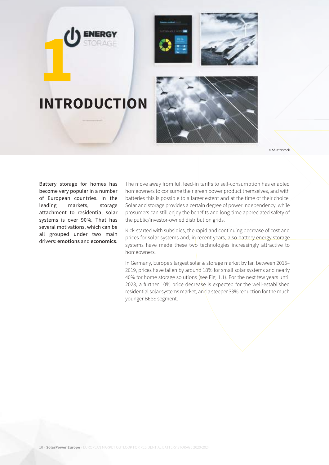



# **INTRODUCTION 1**



© Shutterstock

Battery storage for homes has become very popular in a number of European countries. In the leading markets, storage attachment to residential solar systems is over 90%. That has several motivations, which can be all grouped under two main drivers: **emotions** and **economics**.

The move away from full feed-in tariffs to self-consumption has enabled homeowners to consume their green power product themselves, and with batteries this is possible to a larger extent and at the time of their choice. Solar and storage provides a certain degree of power independency, while prosumers can still enjoy the benefits and long-time appreciated safety of the public/investor-owned distribution grids.

Kick-started with subsidies, the rapid and continuing decrease of cost and prices for solar systems and, in recent years, also battery energy storage systems have made these two technologies increasingly attractive to homeowners.

In Germany, Europe's largest solar & storage market by far, between 2015– 2019, prices have fallen by around 18% for small solar systems and nearly 40% for home storage solutions (see Fig. 1.1). For the next few years until 2023, a further 10% price decrease is expected for the well-established residential solar systems market, and a steeper 33% reduction for the much younger BESS segment.

10 / **SolarPower Europe** / EUROPEAN MARKET OUTLOOK FOR RESIDENTIAL BATTERY STORAGE 2020-2024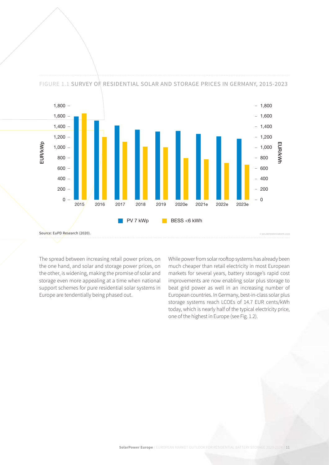

FIGURE 1.1 SURVEY OF RESIDENTIAL SOLAR AND STORAGE PRICES IN GERMANY, 2015-2023

The spread between increasing retail power prices, on the one hand, and solar and storage power prices, on the other, is widening, making the promise of solar and storage even more appealing at a time when national support schemes for pure residential solar systems in Europe are tendentially being phased out.

While power from solar rooftop systems has already been much cheaper than retail electricity in most European markets for several years, battery storage's rapid cost improvements are now enabling solar plus storage to beat grid power as well in an increasing number of European countries. In Germany, best-in-class solar plus storage systems reach LCOEs of 14.7 EUR cents/kWh today, which is nearly half of the typical electricity price, one of the highest in Europe (see Fig. 1.2).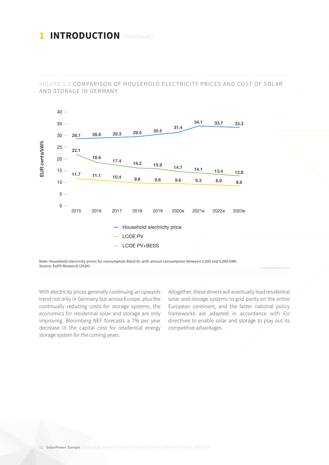## **1 INTRODUCTION** / CONTINUED

FIGURE 1.2 COMPARISON OF HOUSEHOLD ELECTRICITY PRICES AND COST OF SOLAR AND STORAGE IN GERMANY



Note: Household electricity prices for consumption Band Dc with annual consumption between 2,500 and 5,000 kWh. Source: EuPD Research (2020).

With electricity prices generally continuing an upwards trend not only in Germany but across Europe, plus the continually reducing costs for storage systems, the economics for residential solar and storage are only improving. Bloomberg NEF forecasts a 7% per year decrease in the capital cost for residential energy storage system for the coming years.

Altogether, these drivers will eventually lead residential solar and storage systems to grid parity on the entire European continent, and the faster national policy frameworks are adapted in accordance with EU directives to enable solar and storage to play out its competitive advantages.

 **© SOLARPOWER EUROPE 2020**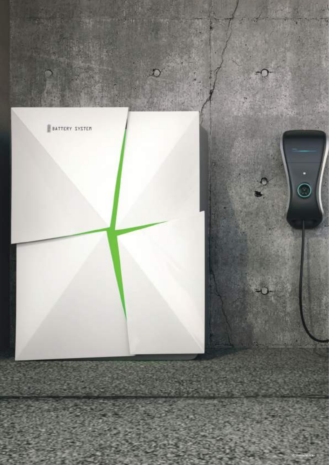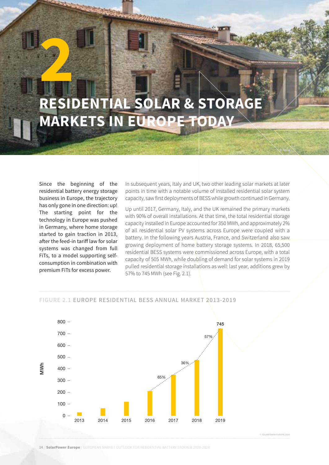## <span id="page-13-0"></span>**RESIDENTIAL SOLAR & STORAGE MARKETS IN EUROPE TODAY 2**

Since the beginning of the residential battery energy storage business in Europe, the trajectory has only gone in one direction: up! The starting point for the technology in Europe was pushed in Germany, where home storage started to gain traction in 2013, after the feed-in tariff law for solar systems was changed from full FiTs, to a model supporting selfconsumption in combination with premium FiTs for excess power.

In subsequent years, Italy and UK, two other leading solar markets at later points in time with a notable volume of installed residential solar system capacity, saw first deployments of BESS while growth continued in Germany.

**TELESCO** 

Up until 2017, Germany, Italy, and the UK remained the primary markets with 90% of overall installations. At that time, the total residential storage capacity installed in Europe accounted for 350 MWh, and approximately 2% of all residential solar PV systems across Europe were coupled with a battery. In the following years Austria, France, and Switzerland also saw growing deployment of home battery storage systems. In 2018, 65,500 residential BESS systems were commissioned across Europe, with a total capacity of 505 MWh, while doubling of demand for solar systems in 2019 pulled residential storage installations as well: last year, additions grew by 57% to 745 MWh (see Fig. 2.1).



#### FIGURE 2.1 EUROPE RESIDENTIAL BESS ANNUAL MARKET 2013-2019

 **© SOLARPOWER EUROPE 2020**

© Tesla

14 / **SolarPower Europe** / EUROPEAN MARKET OUTLOOK FOR RESIDENTIAL BATTERY STORAGE 2020-2024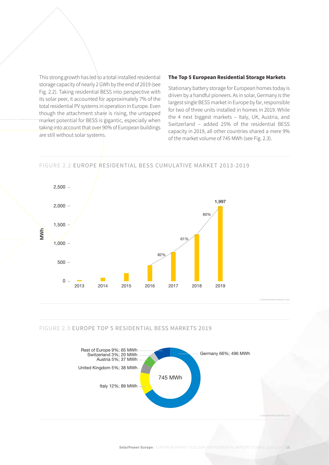This strong growth has led to a total installed residential storage capacity of nearly 2 GWh by the end of 2019 (see Fig. 2.2). Taking residential BESS into perspective with its solar peer, it accounted for approximately 7% of the total residential PV systems in operation in Europe. Even though the attachment share is rising, the untapped market potential for BESS is gigantic, especially when taking into account that over 90% of European buildings are still without solar systems.

#### **The Top 5 European Residential Storage Markets**

Stationary battery storage for European homes today is driven by a handful pioneers. As in solar, Germany is the largest single BESS market in Europe by far, responsible for two of three units installed in homes in 2019. While the 4 next biggest markets – Italy, UK, Austria, and Switzerland – added 25% of the residential BESS capacity in 2019, all other countries shared a mere 9% of the market volume of 745 MWh (see Fig. 2.3).

#### FIGURE 2.2 EUROPE RESIDENTIAL BESS CUMULATIVE MARKET 2013-2019



#### FIGURE 2.3 EUROPE TOP 5 RESIDENTIAL BESS MARKETS 2019

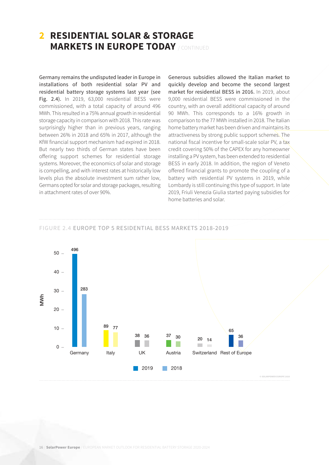### **2 RESIDENTIAL SOLAR & STORAGE MARKETS IN EUROPE TODAY** / CONTINUED

Germany remains the undisputed leader in Europe in installations of both residential solar PV and residential battery storage systems last year (see Fig. 2.4). In 2019, 63,000 residential BESS were commissioned, with a total capacity of around 496 MWh. This resulted in a 75% annual growth in residential storage capacity in comparison with 2018. This rate was surprisingly higher than in previous years, ranging between 26% in 2018 and 65% in 2017, although the KfW financial support mechanism had expired in 2018. But nearly two thirds of German states have been offering support schemes for residential storage systems. Moreover, the economics of solar and storage is compelling, and with interest rates at historically low levels plus the absolute investment sum rather low, Germans opted for solar and storage packages, resulting in attachment rates of over 90%.

Generous subsidies allowed the Italian market to quickly develop and become the second largest market for residential BESS in 2016. In 2019, about 9,000 residential BESS were commissioned in the country, with an overall additional capacity of around 90 MWh. This corresponds to a 16% growth in comparison to the 77 MWh installed in 2018. The Italian home battery market has been driven and maintains its attractiveness by strong public support schemes. The national fiscal incentive for small-scale solar PV, a tax credit covering 50% of the CAPEX for any homeowner installing a PV system, has been extended to residential BESS in early 2018. In addition, the region of Veneto offered financial grants to promote the coupling of a battery with residential PV systems in 2019, while Lombardy is still continuing this type of support. In late 2019, Friuli Venezia Giulia started paying subsidies for home batteries and solar.



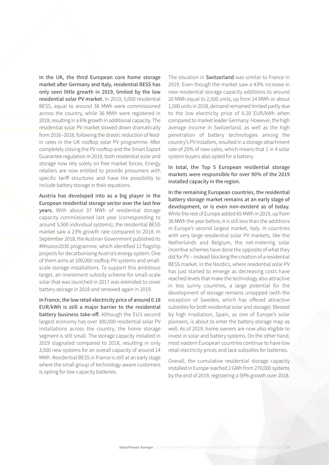In the UK, the third European core home storage market after Germany and Italy, residential BESS has only seen little growth in 2019, limited by the low residential solar PV market. In 2019, 5,000 residential BESS, equal to around 38 MWh were commissioned across the country, while 36 MWh were registered in 2018, resulting in a 6% growth in additional capacity. The residential solar PV market slowed down dramatically from 2016–2018, following the drastic reduction of feedin rates in the UK rooftop solar PV programme. After completely closing the PV rooftop and the Smart Export Guarantee regulation in 2019, both residential solar and storage now rely solely on free market forces. Energy retailers are now entitled/to provide prosumers with specific tariff structures and have the possibility to include battery storage in their equations.

Austria has developed into as a big player in the European residential storage sector over the last few years. With about 37 MWh of residential storage capacity commissioned last year (corresponding to around 5,500 individual systems), the residential BESS market saw a 23% growth rate compared to 2018. In September 2018, the Austrian Government published its #Mission2030 programme, which identified 12 flagship projects for decarbonising Austria's energy system. One of them aims at 100,000 rooftop PV systems and smallscale storage installations. To support this ambitious target, an investment subsidy scheme for small-scale solar that was launched in 2017 was extended to cover battery storage in 2018 and renewed again in 2019.

In France, the low retail electricity price of around 0.18 EUR/kWh is still a major barrier to the residential battery business take-off. Although the EU's second largest economy has over 300,000 residential solar PV installations across the country, the home storage segment is still small. The storage capacity installed in 2019 stagnated compared to 2018, resulting in only 3,500 new systems for an overall capacity of around 14 MWh. Residential BESS in France is still at an early stage where the small group of technology-aware customers is opting for low-capacity batteries.

The situation in Switzerland was similar to France in 2019. Even though the market saw a 43% increase in new residential storage capacity additions to around 20 MWh equal to 2,500 units, up from 14 MWh or about 1,500 units in 2018, demand remained limited partly due to the low electricity price of 0.20 EUR/kWh when compared to market leader Germany. However, the high average income in Switzerland, as well as the high penetration of battery technologies among the country's PV installers, resulted in a storage attachment rate of 25% of new sales, which means that 1 in 4 solar system buyers also opted for a battery.

#### In total, the Top 5 European residential storage markets were responsible for over 90% of the 2019 installed capacity in the region.

In the remaining European countries, the residential battery storage market remains at an early stage of development, or is even non-existent as of today. While the rest of Europe added 65 MWh in 2019, up from 36 MWh the year before, it is still less than the additions in Europe's second largest market, Italy. In countries with very large residential solar PV markets, like the Netherlands and Belgium, the net-metering solar incentive schemes have done the opposite of what they did for PV – instead blocking the creation of a residential BESS market. In the Nordics, where residential solar PV has just started to emerge as decreasing costs have reached levels that make the technology also attractive in less sunny countries, a large potential for the development of storage remains untapped (with the exception of Sweden, which has offered attractive subsidies for both residential solar and storage). Blessed by high irradiation, Spain, as one of Europe's solar pioneers, is about to enter the battery storage map as well. As of 2019, home owners are now also eligible to invest in solar and battery systems. On the other hand, most eastern European countries continue to have low retail electricity prices and lack subsidies for batteries.

Overall, the cumulative residential storage capacity installed in Europe reached 2 GWh from 270,000 systems by the end of 2019, registering a 59% growth over 2018.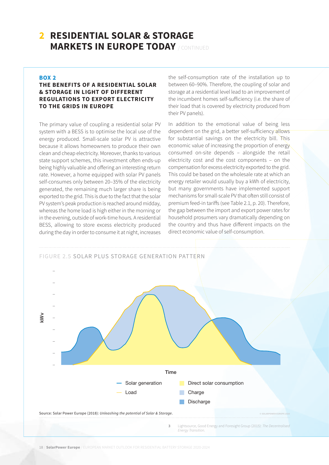## **2 RESIDENTIAL SOLAR & STORAGE MARKETS IN EUROPE TODAY** / CONTINUED

#### **BOX 2**

#### **THE BENEFITS OF A RESIDENTIAL SOLAR & STORAGE IN LIGHT OF DIFFERENT REGULATIONS TO EXPORT ELECTRICITY TO THE GRIDS IN EUROPE**

The primary value of coupling a residential solar PV system with a BESS is to optimise the local use of the energy produced. Small-scale solar PV is attractive because it allows homeowners to produce their own clean and cheap electricity. Moreover, thanks to various state support schemes, this investment often ends-up being highly valuable and offering an interesting return rate. However, a home equipped with solar PV panels self-consumes only between 20–35% of the electricity generated, the remaining much larger share is being exported to the grid. This is due to the fact that the solar PV system's peak production is reached around midday, whereas the home load is high either in the morning or in the evening, outside of work-time hours. A residential BESS, allowing to store excess electricity produced during the day in order to consume it at night, increases

the self-consumption rate of the installation up to between 60–90%. Therefore, the coupling of solar and storage at a residential level lead to an improvement of the incumbent homes self-sufficiency (i.e. the share of their load that is covered by electricity produced from their PV panels).

In addition to the emotional value of being less dependent on the grid, a better self-sufficiency allows for substantial savings on the electricity bill. This economic value of increasing the proportion of energy consumed on-site depends – alongside the retail electricity cost and the cost components – on the compensation for excess electricity exported to the grid. This could be based on the wholesale rate at which an energy retailer would usually buy a kWh of electricity, but many governments have implemented support mechanisms for small-scale PV that often still consist of premium feed-in tariffs (see Table 2.1, p. 20). Therefore, the gap between the import and export power rates for household prosumers vary dramatically depending on the country and thus have different impacts on the direct economic value of self-consumption.

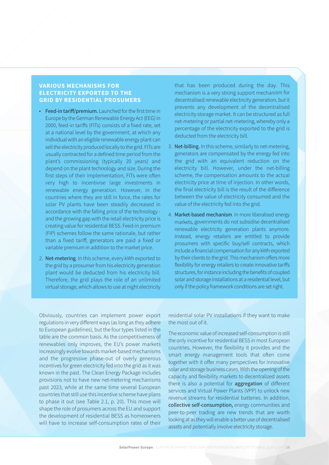#### **VARIOUS MECHANISMS FOR ELECTRICITY EXPORTED TO THE GRID BY RESIDENTIAL PROSUMERS**

- Feed-in tariff/premium. Launched for the first time in Europe by the German Renewable Energy Act (EEG) in 2000, feed-in tariffs (FITs) consists of a fixed rate, set at a national level by the government, at which any individual with an eligible renewable energy plant can sell the electricity produced locally to the grid. FITs are usually contracted for a defined time period from the plant's commissioning (typically 20 years) and depend on the plant technology and size. During the first steps of their implementation, FITs were often very high to incentivise large investments in renewable energy generation. However, in the countries where they are still in force, the rates for solar PV plants have been steadily decreased in accordance with the falling price of the technology and the growing gap with the retail electricity price is creating value for residential BESS. Feed-in premium (FIP) schemes follow the same rationale, but rather than a fixed tariff, generators are paid a fixed or variable premium in addition to the market price.
- 2. Net-metering. In this scheme, every kWh exported to the grid by a prosumer from his electricity generation plant would be deducted from his electricity bill. Therefore, the grid plays the role of an unlimited virtual storage, which allows to use at night electricity

that has been produced during the day. This mechanism is a very strong support mechanism for decentralised renewable electricity generation, but it prevents any development of the decentralised electricity storage market. It can be structured as full net-metering or partial net-metering, whereby only a percentage of the electricity exported to the grid is deducted from the electricity bill.

- 3. Net-billing. In this scheme, similarly to net-metering, generators are compensated by the energy fed into the grid with an equivalent reduction on the electricity bill. However, under the net-billing scheme, the compensation amounts to the actual electricity price at time of injection. In other words, the final electricity bill is the result of the difference between the value of electricity consumed and the value of the electricity fed into the grid.
- 4. Market-based mechanism. In more liberalised energy markets, governments do not subsidise decentralised renewable electricity generation plants anymore. Instead, energy retailers are entitled to provide prosumers with specific buy/sell contracts, which include a financial compensation for any kWh exported by their clients to the grid. This mechanism offers more flexibility for energy retailers to create innovative tariffs structures, for instance including the benefits of coupled solar and storage installations at a residential level, but only if the policy framework conditions are set right.

Obviously, countries can implement power export regulations in very different ways (as long as they adhere to European guidelines), but the four types listed in the table are the common basis. As the competitiveness of renewables only improves, the EU's power markets increasingly evolve towards market-based mechanisms and the progressive phase-out of overly generous incentives for green electricity fed into the grid as it was known in the past. The Clean Energy Package includes provisions not to have new net-metering mechanisms past 2023, while at the same time several European countries that still use this incentive scheme have plans to phase it out (see Table 2.1, p. 20). This move will shape the role of prosumers across the EU and support the development of residential BESS as homeowners will have to increase self-consumption rates of their

residential solar PV installations if they want to make the most out of it.

The economic value of increased self-consumption is still the only incentive for residential BESS in most European countries. However, the flexibility it provides and the smart energy management tools that often come together with it offer many perspectives for innovative solar and storage business cases. With the opening of the capacity and flexibility markets to decentralized assets there is also a potential for **aggregation** of different services and Virtual Power Plants (VPP) to unlock new revenue streams for residential batteries. In addition, collective self-consumption, energy communities and peer-to-peer trading are new trends that are worth looking at as they will enable a better use of decentralised assets and potentially involve electricity storage.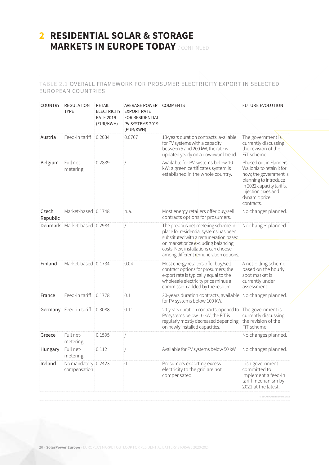## **2 RESIDENTIAL SOLAR & STORAGE MARKETS IN EUROPE TODAY** / CONTINUED

#### TABLE 2.1 OVERALL FRAMEWORK FOR PROSUMER ELECTRICITY EXPORT IN SELECTED EUROPEAN COUNTRIES

| <b>COUNTRY</b>    | <b>REGULATION</b><br><b>TYPE</b>    | <b>RETAIL</b><br><b>ELECTRICITY</b><br><b>RATE 2019</b><br>(EUR/KWH) | <b>AVERAGE POWER</b><br><b>EXPORT RATE</b><br><b>FOR RESIDENTIAL</b><br>PV SYSTEMS 2019<br>(EUR/KWH) | <b>COMMENTS</b>                                                                                                                                                                                                                           | <b>FUTURE EVOLUTION</b>                                                                                                                                                                    |
|-------------------|-------------------------------------|----------------------------------------------------------------------|------------------------------------------------------------------------------------------------------|-------------------------------------------------------------------------------------------------------------------------------------------------------------------------------------------------------------------------------------------|--------------------------------------------------------------------------------------------------------------------------------------------------------------------------------------------|
| Austria           | Feed-in tariff                      | 0.2034                                                               | 0.0767                                                                                               | 13-years duration contracts, available<br>for PV systems with a capacity<br>between 5 and 200 kW, the rate is<br>updated yearly on a downward trend.                                                                                      | The government is<br>currently discussing<br>the revision of the<br>FiT scheme.                                                                                                            |
| Belgium           | Full net-<br>metering               | 0.2839                                                               |                                                                                                      | Available for PV systems below 10<br>kW; a green certificates system is<br>established in the whole country.                                                                                                                              | Phased out in Flanders,<br>Wallonia to retain it for<br>now; the government is<br>planning to introduce<br>in 2022 capacity tariffs,<br>injection taxes and<br>dynamic price<br>contracts. |
| Czech<br>Republic | Market-based 0.1748                 |                                                                      | n.a.                                                                                                 | Most energy retailers offer buy/sell<br>contracts options for prosumers.                                                                                                                                                                  | No changes planned.                                                                                                                                                                        |
|                   | Denmark Market-based 0.2984         |                                                                      |                                                                                                      | The previous net-metering scheme in<br>place for residential systems has been<br>substituted with a remuneration based<br>on market price excluding balancing<br>costs. New installations can choose                                      | No changes planned.                                                                                                                                                                        |
| Finland           | Market-based 0.1734                 |                                                                      | 0.04                                                                                                 | among different remuneration options.<br>Most energy retailers offer buy/sell<br>contract options for prosumers; the<br>export rate is typically equal to the<br>wholesale electricity price minus a<br>commission added by the retailer. | A net-billing scheme<br>based on the hourly<br>spot market is<br>currently under<br>assessment.                                                                                            |
| France            | Feed-in tariff                      | 0.1778                                                               | 0.1                                                                                                  | 20-years duration contracts, available<br>for PV systems below 100 kW.                                                                                                                                                                    | No changes planned.                                                                                                                                                                        |
|                   | Germany Feed-in tariff              | 0.3088                                                               | 0.11                                                                                                 | 20-years duration contracts, opened to<br>PV systems below 10 kW; the FIT is<br>regularly mostly decreased depending<br>on newly installed capacities.                                                                                    | The government is<br>currently discussing<br>the revision of the<br>FiT scheme.                                                                                                            |
| Greece            | Full net-<br>metering               | 0.1595                                                               |                                                                                                      |                                                                                                                                                                                                                                           | No changes planned.                                                                                                                                                                        |
| Hungary           | Full net-<br>metering               | 0.112                                                                |                                                                                                      | Available for PV systems below 50 kW.                                                                                                                                                                                                     | No changes planned.                                                                                                                                                                        |
| Ireland           | No mandatory 0.2423<br>compensation |                                                                      | 0                                                                                                    | Prosumers exporting excess<br>electricity to the grid are not<br>compensated.                                                                                                                                                             | Irish government<br>committed to<br>implement a feed-in<br>tariff mechanism by<br>2021 at the latest.<br>© SOLARPOWER EUROPE 2020                                                          |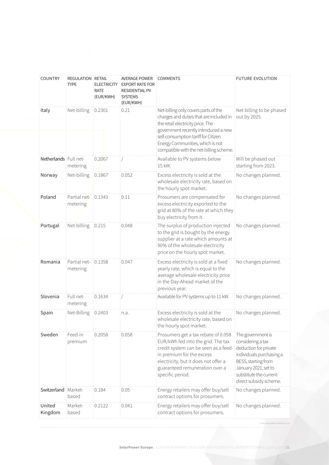| <b>COUNTRY</b>        | REGULATION RETAIL<br><b>TYPE</b> | <b>ELECTRICITY</b><br><b>RATE</b><br>(EUR/KWH) | <b>AVERAGE POWER</b><br><b>EXPORT RATE FOR</b><br><b>RESIDENTIAL PV</b><br><b>SYSTEMS</b><br>(EUR/KWH) | <b>COMMENTS</b>                                                                                                                                                                                                                                                                    | <b>FUTURE EVOLUTION</b>                                                                                                                                                                        |
|-----------------------|----------------------------------|------------------------------------------------|--------------------------------------------------------------------------------------------------------|------------------------------------------------------------------------------------------------------------------------------------------------------------------------------------------------------------------------------------------------------------------------------------|------------------------------------------------------------------------------------------------------------------------------------------------------------------------------------------------|
| Italy                 | Net-billing                      | 0.2301                                         | 0.21                                                                                                   | Net-billing only covers parts of the<br>charges and duties that are included in<br>the retail electricity price. The<br>government recently introduced a new<br>self-consumption tariff for Citizen<br>Energy Communities, which is not<br>compatible with the net-billing scheme. | Net billing to be phased<br>out by 2025.                                                                                                                                                       |
| Netherlands Full net- | metering                         | 0.2067                                         |                                                                                                        | Available to PV systems below<br>15 kW.                                                                                                                                                                                                                                            | Will be phased out<br>starting from 2023.                                                                                                                                                      |
| Norway                | Net-billing                      | 0.1867                                         | 0.052                                                                                                  | Excess electricity is sold at the<br>wholesale electricity rate, based on<br>the hourly spot market.                                                                                                                                                                               | No changes planned.                                                                                                                                                                            |
| Poland                | Partial net-<br>metering         | 0.1343                                         | 0.11                                                                                                   | Prosumers are compensated for<br>excess electricity exported to the<br>grid at 80% of the rate at which they<br>buy electricity from it.                                                                                                                                           | No changes planned.                                                                                                                                                                            |
| Portugal              | Net-billing                      | 0.215                                          | 0.048                                                                                                  | The surplus of production injected<br>to the grid is bought by the energy<br>supplier at a rate which amounts at<br>90% of the wholesale electricity<br>price on the hourly spot market.                                                                                           | No changes planned.                                                                                                                                                                            |
| Romania               | Partial net-<br>metering         | 0.1358                                         | 0.047                                                                                                  | Excess electricity is sold at a fixed<br>yearly rate, which is equal to the<br>average wholesale electricity price<br>in the Day-Ahead market of the<br>previous year.                                                                                                             | No changes planned.                                                                                                                                                                            |
| Slovenia              | Full net-<br>metering            | 0.1634                                         |                                                                                                        | Available for PV systems up to 11 kW.                                                                                                                                                                                                                                              | No changes planned.                                                                                                                                                                            |
| Spain                 | Net-Billing                      | 0.2403                                         | n.a.                                                                                                   | Excess electricity is sold at the<br>wholesale electricity rate, based on<br>the hourly spot market.                                                                                                                                                                               | No changes planned.                                                                                                                                                                            |
| Sweden                | Feed-in<br>premium               | 0.2058                                         | 0.058                                                                                                  | Prosumers get a tax rebate of 0.058<br>EUR/kWh fed into the grid. The tax<br>credit system can be seen as a feed-<br>in premium for the excess<br>electricity, but it does not offer a<br>guaranteed remuneration over a<br>specific period.                                       | The government is<br>considering a tax<br>deduction for private<br>individuals purchasing a<br>BESS, starting from<br>January 2021, set to<br>substitute the current<br>direct subsidy scheme. |
| Switzerland           | Market-<br>based                 | 0.184                                          | 0.05                                                                                                   | Energy retailers may offer buy/sell<br>contract options for prosumers.                                                                                                                                                                                                             | No changes planned.                                                                                                                                                                            |
| United<br>Kingdom     | Market-<br>based                 | 0.2122                                         | 0.041                                                                                                  | Energy retailers may offer buy/sell<br>contract options for prosumers.                                                                                                                                                                                                             | No changes planned.                                                                                                                                                                            |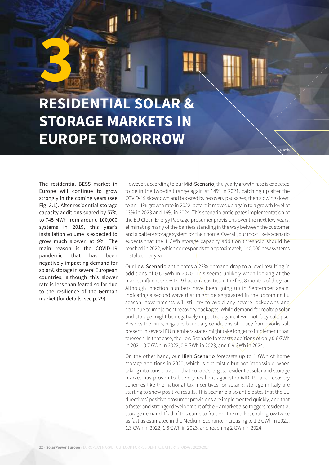## <span id="page-21-0"></span>**RESIDENTIAL SOLAR & STORAGE MARKETS IN EUROPE TOMORROW 3**

The residential BESS market in Europe will continue to grow strongly in the coming years (see Fig. 3.1). After residential storage capacity additions soared by 57% to 745 MWh from around 100,000 systems in 2019, this year's installation volume is expected to grow much slower, at 9%. The main reason is the COVID-19 pandemic that has been negatively impacting demand for solar & storage in several European countries, although this slower rate is less than feared so far due to the resilience of the German market (for details, see p. 29).

However, according to our Mid-Scenario, the yearly growth rate is expected to be in the two-digit range again at 14% in 2021, catching up after the COVID-19 slowdown and boosted by recovery packages, then slowing down to an 11% growth rate in 2022, before it moves up again to a growth level of 13% in 2023 and 16% in 2024. This scenario anticipates implementation of the EU Clean Energy Package prosumer provisions over the next few years, eliminating many of the barriers standing in the way between the customer and a battery storage system for their home. Overall, our most likely scenario expects that the 1 GWh storage capacity addition threshold should be reached in 2022, which corresponds to approximately 140,000 new systems installed per year.

© Tesla

Our Low Scenario anticipates a 23% demand drop to a level resulting in additions of 0.6 GWh in 2020. This seems unlikely when looking at the market influence COVID-19 had on activities in the first 8 months of the year. Although infection numbers have been going up in September again, indicating a second wave that might be aggravated in the upcoming flu season, governments will still try to avoid any severe lockdowns and continue to implement recovery packages. While demand for rooftop solar and storage might be negatively impacted again, it will not fully collapse. Besides the virus, negative boundary conditions of policy frameworks still present in several EU members states might take longer to implement than foreseen. In that case, the Low Scenario forecasts additions of only 0.6 GWh in 2021, 0.7 GWh in 2022, 0.8 GWh in 2023, and 0.9 GWh in 2024.

On the other hand, our High Scenario forecasts up to 1 GWh of home storage additions in 2020, which is optimistic but not impossible, when taking into consideration that Europe's largest residential solar and storage market has proven to be very resilient against COVID-19, and recovery schemes like the national tax incentives for solar & storage in Italy are starting to show positive results. This scenario also anticipates that the EU directives' positive prosumer provisions are implemented quickly, and that a faster and stronger development of the EV market also triggers residential storage demand. If all of this came to fruition, the market could grow twice as fast as estimated in the Medium Scenario, increasing to 1.2 GWh in 2021, 1.3 GWh in 2022, 1.6 GWh in 2023, and reaching 2 GWh in 2024.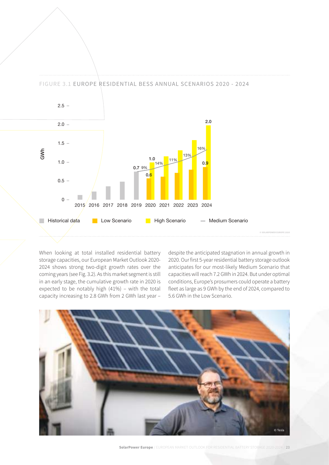FIGURE 3.1 EUROPE RESIDENTIAL BESS ANNUAL SCENARIOS 2020 - 2024



When looking at total installed residential battery storage capacities, our European Market Outlook 2020- 2024 shows strong two-digit growth rates over the coming years (see Fig. 3.2). As this market segment is still in an early stage, the cumulative growth rate in 2020 is expected to be notably high (41%) – with the total capacity increasing to 2.8 GWh from 2 GWh last year –

despite the anticipated stagnation in annual growth in 2020. Our first 5-year residential battery storage outlook anticipates for our most-likely Medium Scenario that capacities will reach 7.2 GWh in 2024. But under optimal conditions, Europe's prosumers could operate a battery fleet as large as 9 GWh by the end of 2024, compared to 5.6 GWh in the Low Scenario.



**SolarPower Europe** / EUROPEAN MARKET OUTLOOK FOR RESIDENTIAL BATTERY STORAGE 2020-2024 / 23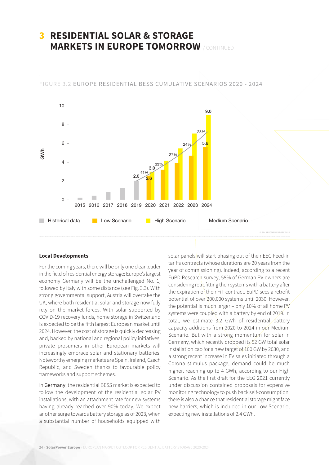## **3 RESIDENTIAL SOLAR & STORAGE MARKETS IN EUROPE TOMORROW** / CONTINUED

#### FIGURE 3.2 EUROPE RESIDENTIAL BESS CUMULATIVE SCENARIOS 2020 - 2024



#### **Local Developments**

For the coming years, there will be only one clear leader in the field of residential energy storage: Europe's largest economy Germany will be the unchallenged No. 1, followed by Italy with some distance (see Fig. 3.3). With strong governmental support, Austria will overtake the UK, where both residential solar and storage now fully rely on the market forces. With solar supported by COVID-19 recovery funds, home storage in Switzerland is expected to be the fifth largest European market until 2024. However, the cost of storage is quickly decreasing and, backed by national and regional policy initiatives, private prosumers in other European markets will increasingly embrace solar and stationary batteries. Noteworthy emerging markets are Spain, Ireland, Czech Republic, and Sweden thanks to favourable policy frameworks and support schemes.

In Germany, the residential BESS market is expected to follow the development of the residential solar PV installations, with an attachment rate for new systems having already reached over 90% today. We expect another surge towards battery storage as of 2023, when a substantial number of households equipped with

solar panels will start phasing out of their EEG Feed-in tariffs contracts (whose durations are 20 years from the year of commissioning). Indeed, according to a recent EuPD Research survey, 58% of German PV owners are considering retrofitting their systems with a battery after the expiration of their FiT contract. EuPD sees a retrofit potential of over 200,000 systems until 2030. However, the potential is much larger – only 10% of all home  $PV$ systems were coupled with a battery by end of 2019. In total, we estimate 3.2 GWh of residential battery capacity additions from 2020 to 2024 in our Medium Scenario. But with a strong momentum for solar in Germany, which recently dropped its 52 GW total solar installation cap for a new target of 100 GW by 2030, and a strong recent increase in EV sales initiated through a Corona stimulus package, demand could be much higher, reaching up to 4 GWh, according to our High Scenario. As the first draft for the EEG 2021 currently under discussion contained proposals for expensive monitoring technology to push back self-consumption, there is also a chance that residential storage might face new barriers, which is included in our Low Scenario, expecting new installations of 2.4 GWh.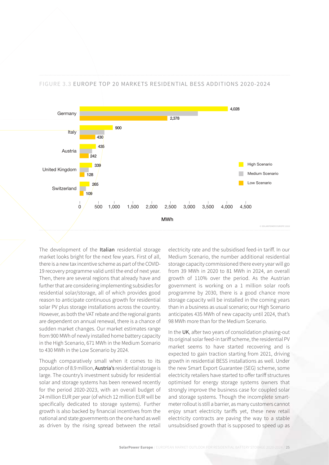#### FIGURE 3.3 EUROPE TOP 20 MARKETS RESIDENTIAL BESS ADDITIONS 2020-2024



The development of the Italian residential storage market looks bright for the next few years. First of all, there is a new tax incentive scheme as part of the COVID-19 recovery programme valid until the end of next year. Then, there are several regions that already have and further that are considering implementing subsidies for residential solar/storage, all of which provides good reason to anticipate continuous growth for residential solar PV plus storage installations across the country. However, as both the VAT rebate and the regional grants are dependent on annual renewal, there is a chance of sudden market changes. Our market estimates range from 900 MWh of newly installed home battery capacity in the High Scenario, 671 MWh in the Medium Scenario to 430 MWh in the Low Scenario by 2024.

Though comparatively small when it comes to its population of 8.9 million, Austria's residential storage is large. The country's investment subsidy for residential solar and storage systems has been renewed recently for the period 2020-2023, with an overall budget of 24 million EUR per year (of which 12 million EUR will be specifically dedicated to storage systems). Further growth is also backed by financial incentives from the national and state governments on the one hand as well as driven by the rising spread between the retail

electricity rate and the subsidised feed-in tariff. In our Medium Scenario, the number additional residential storage capacity commissioned there every year will go from 39 MWh in 2020 to 81 MWh in 2024, an overall growth of 110% over the period. As the Austrian government is working on a 1 million solar roofs programme by 2030, there is a good chance more storage capacity will be installed in the coming years than in a business as usual scenario; our High Scenario anticipates 435 MWh of new capacity until 2024, that's 98 MWh more than for the Medium Scenario.

In the UK, after two years of consolidation phasing-out its original solar feed-in tariff scheme, the residential PV market seems to have started recovering and is expected to gain traction starting from 2021, driving growth in residential BESS installations as well. Under the new Smart Export Guarantee (SEG) scheme, some electricity retailers have started to offer tariff structures optimised for energy storage systems owners that strongly improve the business case for coupled solar and storage systems. Though the incomplete smartmeter rollout is still a barrier, as many customers cannot enjoy smart electricity tariffs yet, these new retail electricity contracts are paving the way to a stable unsubsidised growth that is supposed to speed up as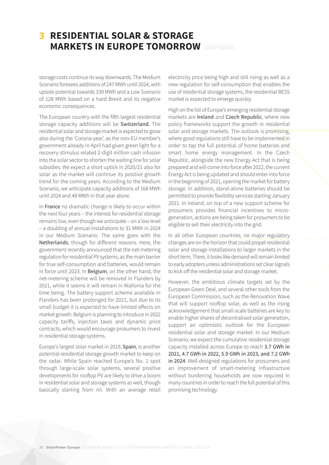## **3 RESIDENTIAL SOLAR & STORAGE MARKETS IN EUROPE TOMORROW** / CONTINUED

storage costs continue its way downwards. The Medium Scenario foresees additions of 247 MWh until 2024, with upside potential towards 339 MWh and a Low Scenario of 128 MWh based on a hard Brexit and its negative economic consequences.

The European country with the fifth largest residential storage capacity additions will be Switzerland. The residential solar and storage market is expected to grow also during the 'Corona-year', as the non-EU member's government already in April had given green light for a recovery stimulus related 2-digit million cash infusion into the solar sector to shorten the waiting line for solar subsidies. We expect a short uptick in 2020/21 also for solar as the market will continue its positive growth trend for the coming years. According to the Medium Scenario, we anticipate capacity additions of 168 MWh until 2024 and 48 MWh in that year alone.

In France no dramatic change is likely to occur within the next four years – the interest for residential storage remains low, even though we anticipate – on a low level – a doubling of annual installations to 31 MWh in 2024 in our Medium Scenario. The same goes with the Netherlands, though for different reasons. Here, the government recently announced that the net-metering regulation for residential PV systems, as the main barrier for true self-consumption and batteries, would remain in force until 2023. In Belgium, on the other hand, the net-metering scheme will be removed in Flanders by 2021, while it seems it will remain in Wallonia for the time being. The battery support scheme available in Flanders has been prolonged for 2021, but due to its small budget it is expected to have limited effects on market growth. Belgium is planning to introduce in 2022 capacity tariffs, injection taxes and dynamic price contracts, which would encourage prosumers to invest in residential storage systems.

Europe's largest solar market in 2019, Spain, is another potential residential storage growth market to keep on the radar. While Spain reached Europe's No. 1 spot through large-scale solar systems, several positive developments for rooftop PV are likely to drive a boom in residential solar and storage systems as well, though basically starting from nil. With an average retail

electricity price being high and still rising as well as a new regulation for self-consumption that enables the use of residential storage systems, the residential BESS market is expected to emerge quickly.

High on the list of Europe's emerging residential storage markets are Ireland and Czech Republic, where new policy frameworks support the growth in residential solar and storage markets. The outlook is promising, where good regulations still have to be implemented in order to tap the full potential of home batteries and smart home energy management. In the Czech Republic, alongside the new Energy Act that is being prepared and will come into force after 2022, the current Energy Act is being updated and should enter into force in the beginning of 2021, opening the market for battery storage. In addition, stand-alone batteries should be permitted to provide flexibility services starting January 2021. In Ireland, on top of a new support scheme for prosumers provides financial incentives to microgeneration, actions are being taken for prosumers to be eligible to sell their electricity into the grid.

In all other European countries, no major regulatory changes are on the horizon that could propel residential solar and storage installations to larger markets in the short term. There, it looks like demand will remain limited to early adopters unless administrations set clear signals to kick off the residential solar and storage market.

However, the ambitious climate targets set by the European Green Deal, and several other tools from the European Commission, such as the Renovation Wave that will support rooftop solar, as well as the rising acknowledgement that small-scale batteries are key to enable higher shares of decentralised solar generation, support an optimistic outlook for the European residential solar and storage market. In our Medium Scenario, we expect the cumulative residential storage capacity installed across Europe to reach 3.7 GWh in 2021, 4.7 GWh in 2022, 5.9 GWh in 2023, and 7.2 GWh in 2024. Well-designed regulations for prosumers and an improvement of smart-metering infrastructure without burdening households are now required in many countries in order to reach the full potential of this promising technology.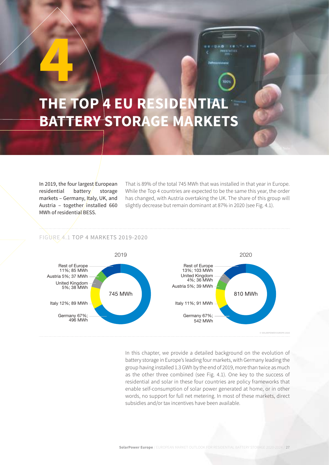## <span id="page-26-0"></span>**THE TOP 4 EU RESIDENTIAL BATTERY STORAGE MARKETS 4**

In 2019, the four largest European residential battery storage markets – Germany, Italy, UK, and Austria – together/installed 660 MWh of residential BESS.

That is 89% of the total 745 MWh that was installed in that year in Europe. While the Top 4 countries are expected to be the same this year, the order has changed, with Austria overtaking the UK. The share of this group will slightly decrease but remain dominant at 87% in 2020 (see Fig. 4.1).

#### FIGURE 4.1 TOP 4 MARKETS 2019-2020



In this chapter, we provide a detailed background on the evolution of battery storage in Europe's leading four markets, with Germany leading the group having installed 1.3 GWh by the end of 2019, more than twice as much as the other three combined (see Fig. 4.1). One key to the success of residential and solar in these four countries are policy frameworks that enable self-consumption of solar power generated at home, or in other words, no support for full net metering. In most of these markets, direct subsidies and/or tax incentives have been available.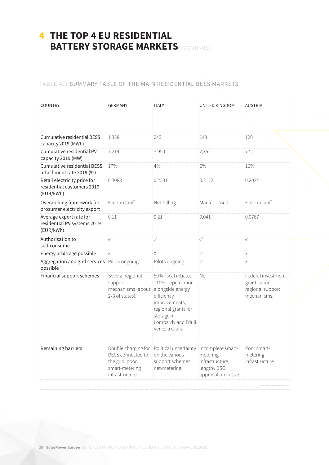## **4 THE TOP 4 EU RESIDENTIAL BATTERY STORAGE MARKETS** / CONTINUED

#### TABLE 4.1 SUMMARY TABLE OF THE MAIN RESIDENTIAL BESS MARKETS

| <b>COUNTRY</b>                                                          | <b>GERMANY</b>                                                                                  | <b>ITALY</b>                                                                                                                                                              | <b>UNITED KINGDOM</b>                                                                  | <b>AUSTRIA</b>                                                        |
|-------------------------------------------------------------------------|-------------------------------------------------------------------------------------------------|---------------------------------------------------------------------------------------------------------------------------------------------------------------------------|----------------------------------------------------------------------------------------|-----------------------------------------------------------------------|
| Cumulative residential BESS<br>capacity 2019 (MWh)                      | 1,328                                                                                           | 243                                                                                                                                                                       | 143                                                                                    | 120                                                                   |
| Cumulative residential PV<br>capacity 2019 (MW)                         | 7,214                                                                                           | 3,950                                                                                                                                                                     | 2,352                                                                                  | 772                                                                   |
| <b>Cumulative residential BESS</b><br>attachment rate 2019 (%)          | 17%                                                                                             | 4%                                                                                                                                                                        | 6%                                                                                     | 16%                                                                   |
| Retail electricity price for<br>residential customers 2019<br>(EUR/kWh) | 0.3088                                                                                          | 0.2301                                                                                                                                                                    | 0.2122                                                                                 | 0.2034                                                                |
| Overarching framework for<br>prosumer electricity export                | Feed-in tariff                                                                                  | Net-billing                                                                                                                                                               | Market-based                                                                           | Feed-in tariff                                                        |
| Average export rate for<br>residential PV systems 2019<br>(EUR/kWh)     | 0.11                                                                                            | 0.21                                                                                                                                                                      | 0.041                                                                                  | 0.0767                                                                |
| Authorisation to<br>self-consume                                        | $\checkmark$                                                                                    | $\checkmark$                                                                                                                                                              | $\checkmark$                                                                           | $\checkmark$                                                          |
| Energy arbitrage possible                                               | X.                                                                                              | Χ                                                                                                                                                                         | $\checkmark$                                                                           | X.                                                                    |
| Aggregation and grid services<br>possible                               | Pilots ongoing                                                                                  | Pilots ongoing                                                                                                                                                            | $\checkmark$                                                                           | X                                                                     |
| Financial support schemes                                               | Several regional<br>support<br>mechanisms (about<br>2/3 of states).                             | 50% fiscal rebate;<br>110% depreciation<br>alongside energy<br>efficiency<br>improvements;<br>regional grants for<br>storage in<br>Lombardy and Friuli<br>Venezia Giulia. | No                                                                                     | Federal investment<br>grant; some<br>regional support<br>mechanisms.  |
| Remaining barriers                                                      | Double charging for<br>BESS connected to<br>the grid, poor<br>smart-metering<br>infrastructure. | Political uncertainty<br>on the various<br>support schemes,<br>net-metering.                                                                                              | Incomplete smart-<br>metering<br>infrastructure,<br>lengthy DSO<br>approval processes. | Poor smart-<br>metering<br>infrastructure.<br>© SOLARPOWER EUROPE 202 |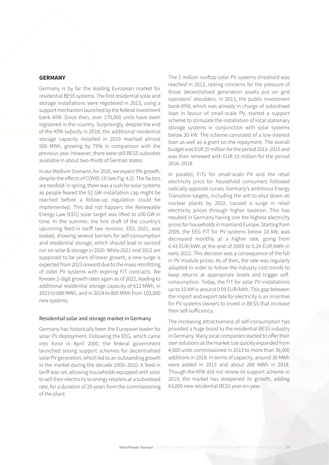#### <span id="page-28-0"></span>**GERMANY**

Germany is by far the leading European market for residential BESS systems. The first residential solar and storage installations were registered in 2013, using a support mechanism launched by the federal investment bank KfW. Since then, over 170,000 units have been registered in the country. Surprisingly, despite the end of the KfW subsidy in 2018, the additional residential storage capacity installed in 2019 reached almost 500 MWh, growing by 75% in comparison with the previous year. However, there were still BESS subsidies available in about two-thirds of German states.

In our Medium Scenario, for 2020, we expect 9% growth, despite the effects of COVID-19 (see Fig. 4.2). The factors are twofold: in spring, there was a rush for solar systems as people feared the 52 GW installation cap might be reached before a follow-up regulation could be implemented. This did not happen; the Renewable Energy Law (EEG) solar target was lifted to 100 GW in time. In the summer, the first draft of the country's upcoming feed-in tariff law revision, EEG 2021, was leaked, showing several barriers for self-consumption and residential storage, which should lead to second run on solar & storage in 2020. While 2021 and 2022 are supposed to be years of lower growth, a new surge is expected from 2023 onward due to the mass retrofitting of older PV systems with expiring FiT contracts. We foresee 2-digit growth rates again as of 2022, leading to additional residential storage capacity of 612 MWh, in 2023 to 689 MWh, and in 2024 to 805 MWh from 103,000 new systems.

#### Residential solar and storage market in Germany

Germany has historically been the European leader for solar PV deployment. Following the EEG, which came into force in April 2000, the federal government launched strong support schemes for decentralised solar PV generation, which led to an outstanding growth in the market during the decade 2000–2010. A feed-in tariff was set, allowing households equipped with solar to sell their electricity to energy retailers at a subsidised rate, for a duration of 20-years from the commissioning of the plant.

The 1 million rooftop solar PV systems threshold was reached in 2012, raising concerns for the pressure of those decentralised generation assets put on grid operators' shoulders. In 2013, the public investment bank KfW, which was already in charge of subsidised loan in favour of small-scale PV, started a support scheme to stimulate the installation of local stationary storage systems in conjunction with solar systems below 30 kW. The scheme consisted of a low-interest loan as well as a grant on the repayment. The overall budget was EUR 25 million for the period 2013–2015 and was then renewed with EUR 10 million for the period 2016–2018.

In parallel, FiTs for small-scale PV and the retail electricity price for household consumers followed radically opposite curves. Germany's ambitious Energy Transition targets, including the will to shut down all nuclear plants by 2022, caused a surge in retail electricity prices through higher taxation. This has resulted in Germany having one the highest electricity prices for households in mainland Europe. Starting from 2009, the EEG FiT for PV systems below 10 kW, was decreased monthly at a higher rate, going from 0.43 EUR/kWh at the end of 2009 to 0.24 EUR/kWh in early 2012. This decision was a consequence of the fall in PV module prices. As of then, the rate was regularly adapted in order to follow the industry cost trends to keep returns at appropriate levels and trigger selfconsumption. Today, the FiT for solar PV installations up to 10 kW is around 0.09 EUR/kWh. This gap between the import and export rate for electricity is an incentive for PV systems owners to invest in BESS that increase their self-sufficiency.

The increasing attractiveness of self-consumption has provided a huge boost to the residential BESS industry in Germany. Many local companies started to offer their own solutions as the market size quickly expanded from 4,500 units commissioned in 2013 to more than 36,000 additions in 2018. In terms of capacity, around 30 MWh were added in 2013 and about 280 MWh in 2018. Though the KfW did not renew its support scheme in 2019, the market has steepened its growth, adding 63,000 new residential BESS year-on-year.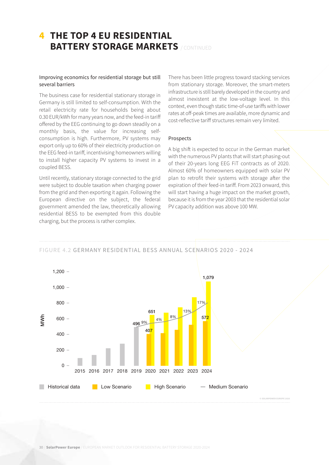## **4 THE TOP 4 EU RESIDENTIAL BATTERY STORAGE MARKETS** / CONTINUED

#### Improving economics for residential storage but still several barriers

The business case for residential stationary storage in Germany is still limited to self-consumption. With the retail electricity rate for households being about 0.30 EUR/kWh for many years now, and the feed-in tariff offered by the EEG continuing to go down steadily on a monthly basis, the value for increasing selfconsumption is high. Furthermore, PV systems may export only up to 60% of their electricity production on the EEG feed-in tariff, incentivising homeowners willing to install higher capacity PV systems to invest in a coupled BESS.

Until recently, stationary storage connected to the grid were subject to double taxation when charging power from the grid and then exporting it again. Following the European directive on the subject, the federal government amended the law, theoretically allowing residential BESS to be exempted from this double charging, but the process is rather complex.

There has been little progress toward stacking services from stationary storage. Moreover, the smart-meters infrastructure is still barely developed in the country and almost inexistent at the low-voltage level. In this context, even though static time-of-use tariffs with lower rates at off-peak times are available, more dynamic and cost-reflective tariff structures remain very limited.

#### Prospects

A big shift is expected to occur in the German market with the numerous PV plants that will start phasing-out of their 20-years long EEG FiT contracts as of 2020. Almost 60% of homeowners equipped with solar PV plan to retrofit their systems with storage after the expiration of their feed-in tariff. From 2023 onward, this will start having a huge impact on the market growth, because it is from the year 2003 that the residential solar PV capacity addition was above 100 MW.

FIGURE 4.2 GERMANY RESIDENTIAL BESS ANNUAL SCENARIOS 2020 - 2024

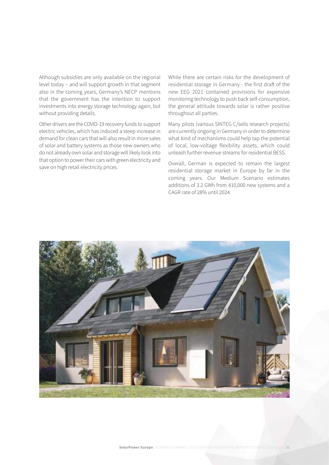Although subsidies are only available on the regional level today – and will support growth in that segment also in the coming years, Germany's NECP mentions that the government has the intention to support investments into energy storage technology again, but without providing details.

Other drivers are the COVID-19 recovery funds to support electric vehicles, which has induced a steep increase in demand for clean cars that will also result in more sales of solar and battery systems as those new owners who do not already own solar and storage will likely look into that option to power their cars with green electricity and save on high retail electricity prices.

While there are certain risks for the development of residential storage in Germany - the first draft of the new EEG 2021 contained provisions for expensive monitoring technology to push back self-consumption, the general attitude towards solar is rather positive throughout all parties.

Many pilots (various SINTEG C/sells research projects) are currently ongoing in Germany in order to determine what kind of mechanisms could help tap the potential of local, low-voltage flexibility assets, which could unleash further revenue streams for residential BESS.

Overall, German is expected to remain the largest residential storage market in Europe by far in the coming years. Our Medium Scenario estimates additions of 3.2 GWh from 410,000 new systems and a CAGR rate of 28% until 2024.

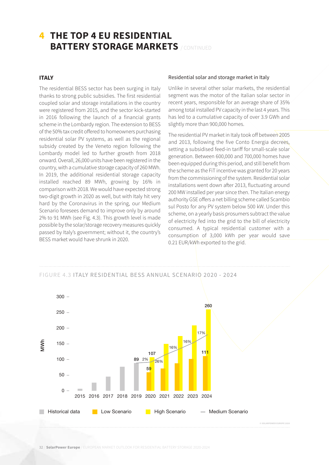## <span id="page-31-0"></span>**4 THE TOP 4 EU RESIDENTIAL BATTERY STORAGE MARKETS** / CONTINUED

#### **ITALY**

The residential BESS sector has been surging in Italy thanks to strong public subsidies. The first residential coupled solar and storage installations in the country were registered from 2015, and the sector kick-started in 2016 following the launch of a financial grants scheme in the Lombardy region. The extension to BESS of the 50% tax credit offered to homeowners purchasing residential solar PV systems, as well as the regional subsidy created by the Veneto region following the Lombardy model led to further growth from 2018 onward. Overall, 26,000 units have been registered in the country, with a cumulative storage capacity of 260 MWh. In 2019, the additional residential storage capacity installed reached 89 MWh, growing by 16% in comparison with 2018. We would have expected strong two-digit growth in 2020 as well, but with Italy hit very hard by the Coronavirus in the spring, our Medium Scenario foresees demand to improve only by around 2% to 91 MWh (see Fig. 4.3). This growth level is made possible by the solar/storage recovery measures quickly passed by Italy's government; without it, the country's BESS market would have shrunk in 2020.

#### Residential solar and storage market in Italy

Unlike in several other solar markets, the residential segment was the motor of the Italian solar sector in recent years, responsible for an average share of 35% among total installed PV capacity in the last 4 years. This has led to a cumulative capacity of over 3.9 GWh and slightly more than 900,000 homes.

The residential PV market in Italy took off between 2005 and 2013, following the five Conto Energia decrees, setting a subsidised feed-in tariff for small-scale solar generation. Between 600,000 and 700,000 homes have been equipped during this period, and still benefit from the scheme as the FiT incentive was granted for 20 years from the commissioning of the system. Residential solar installations went down after 2013, fluctuating around 200 MW installed per year since then. The Italian energy authority GSE offers a net billing scheme called Scambio sul Posto for any PV system below 500 kW. Under this scheme, on a yearly basis prosumers subtract the value of electricity fed into the grid to the bill of electricity consumed. A typical residential customer with a consumption of 3,000 kWh per year would save 0.21 EUR/kWh exported to the grid.

#### FIGURE 4.3 ITALY RESIDENTIAL BESS ANNUAL SCENARIO 2020 - 2024

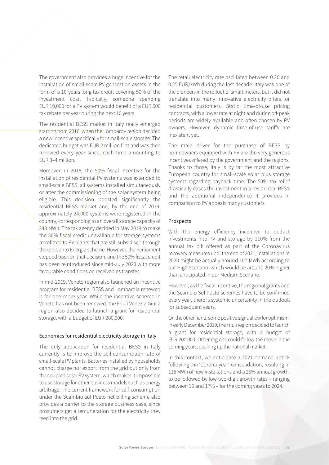The government also provides a huge incentive for the installation of small-scale PV generation assets in the form of a 10-years long tax credit covering 50% of the investment cost. Typically, someone spending EUR 10,000 for a PV system would benefit of a EUR 500 tax rebate per year during the next 10 years.

The residential BESS market in Italy really emerged starting from 2016, when the Lombardy region decided a new incentive specifically for small-scale storage. The dedicated budget was EUR 2 million first and was then renewed every year since, each time amounting to EUR 3–4 million.

Moreover, in 2018, the 50% fiscal incentive for the installation of residential $/$ PV systems was extended to small-scale BESS, all systems installed simultaneously or after the commissioning of the solar system being eligible. This decision boosted significantly the residential BESS market and, by the end of 2019, approximately  $24,000$  systems were registered in the country, corresponding to an overall storage capacity of 243 MWh. The tax agency decided in May 2019 to make the 50% fiscal credit unavailable for storage systems retrofitted to PV plants that are still subsidised through the old Conto Energia scheme. However, the Parliament stepped back on that decision, and the 50% fiscal credit has been reintroduced since mid-July 2020 with more favourable conditions on receivables transfer.

In mid-2019, Veneto region also launched an incentive program for residential BESS and Lombardia renewed it for one more year. While the incentive scheme in Veneto has not been renewed, the Friuli Venezia Giulia region also decided to launch a grant for residential storage, with a budget of EUR 200,000.

#### Economics for residential electricity storage in Italy

The only application for residential BESS in Italy currently is to improve the self-consumption rate of small-scale PV plants. Batteries installed by households cannot charge nor export from the grid but only from the coupled solar PV system, which makes it impossible to use storage for other business models such as energy arbitrage. The current framework for self-consumption under the Scambio sul Posto net billing scheme also provides a barrier to the storage business case, since prosumers get a remuneration for the electricity they feed into the grid.

The retail electricity rate oscillated between 0.20 and 0.25 EUR/kWh during the last decade. Italy was one of the pioneers in the rollout of smart meters, but it did not translate into many innovative electricity offers for residential customers. Static time-of-use pricing contracts, with a lower rate at night and during off-peak periods are widely available and often chosen by PV owners. However, dynamic time-of-use tariffs are inexistent yet.

The main driver for the purchase of BESS by homeowners equipped with PV are the very generous incentives offered by the government and the regions. Thanks to those, Italy is by far the most attractive European country for small-scale solar plus storage systems regarding payback time. The 50% tax relief drastically eases the investment in a residential BESS and the additional independence it provides in comparison to PV appeals many customers.

#### Prospects

With the energy efficiency incentive to deduct investments into PV and storage by 110% from the annual tax bill offered as part of the Coronavirus recovery measures until the end of 2021, installations in 2020 might be actually around 107 MWh according to our High Scenario, which would be around 20% higher than anticipated in our Medium Scenario.

However, as the fiscal incentive, the regional grants and the Scambio Sul Posto schemes have to be confirmed every year, there is systemic uncertainty in the outlook for subsequent years.

On the other hand, some positive signs allow for optimism. In early December 2019, the Friuli region decided to launch a grant for residential storage, with a budget of EUR 200,000. Other regions could follow the move in the coming years, pushing up the national market.

In this context, we anticipate a 2021 demand uptick following the 'Corona-year' consolidation, resulting in 115 MWh of new installations and a 26% annual growth, to be followed by low two-digit growth rates – ranging between 16 and 17% – for the coming years to 2024.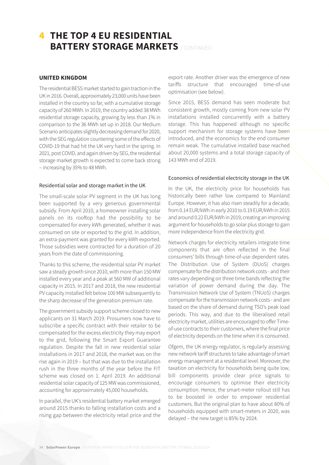## <span id="page-33-0"></span>**4 THE TOP 4 EU RESIDENTIAL BATTERY STORAGE MARKETS** / CONTINUED

#### **UNITED KINGDOM**

The residential BESS market started to gain traction in the UK in 2016. Overall, approximately 23,000 units have been installed in the country so far, with a cumulative storage capacity of 260 MWh. In 2019, the country added 38 MWh residential storage capacity, growing by less than 1% in comparison to the 36 MWh set up in 2018. Our Medium Scenario anticipates slightly decreasing demand for 2020, with the SEG regulation countering some of the effects of COVID-19 that had hit the UK very hard in the spring. In 2021, post COVID, and again driven by SEG, the residential storage market growth is expected to come back strong – increasing by 35% to 48 MWh.

#### Residential solar and storage market in the UK

The small-scale solar PV segment in the UK has long been supported by a very generous governmental subsidy. From April 2010, a homeowner installing solar panels on its rooftop had the possibility to be compensated for every kWh generated, whether it was consumed on site or exported to the grid. In addition, an extra-payment was granted for every kWh exported. Those subsidies were contracted for a duration of 20 years from the date of commissioning.

Thanks to this scheme, the residential solar PV market saw a steady growth since 2010, with more than 150 MW installed every year and a peak at 560 MW of additional capacity in 2015. In 2017 and 2018, the new residential PV capacity installed felt below 100 MW subsequently to the sharp decrease of the generation premium rate.

The government subsidy support scheme closed to new applicants on 31 March 2019. Prosumers now have to subscribe a specific contract with their retailer to be compensated for the excess electricity they may export to the grid, following the Smart Export Guarantee regulation. Despite the fall in new residential solar installations in 2017 and 2018, the market was on the rise again in 2019 – but that was due to the installation rush in the three months of the year before the FIT scheme was closed on 1. April 2019. An additional residential solar capacity of 125 MW was commissioned, accounting for approximately 45,000 households.

In parallel, the UK's residential battery market emerged around 2015 thanks to falling installation costs and a rising gap between the electricity retail price and the

export rate. Another driver was the emergence of new tariffs structure that encouraged time-of-use optimisation (see below).

Since 2015, BESS demand has seen moderate but consistent growth, mostly coming from new solar PV installations installed concurrently with a battery storage. This has happened although no specific support mechanism for storage systems have been introduced, and the economics for the end consumer remain weak. The cumulative installed base reached about 20,000 systems and a total storage capacity of 143 MWh end of 2019.

#### Economics of residential electricity storage in the UK

In the UK, the electricity price for households has historically been rather low compared to Mainland Europe. However, it has also risen steadily for a decade, from 0.14 EUR/kWh in early 2010 to 0.19 EUR/kWh in 2015 and around 0.22 EUR/kWh in 2019, creating an improving argument for households to go solar plus storage to gain more independence from the electricity grid.

Network charges for electricity retailers integrate time components that are often reflected in the final consumers' bills through time-of-use dependent rates. The Distribution Use of System (DUoS) charges compensate for the distribution network costs - and their rates vary depending on three time bands reflecting the variation of power demand during the day. The Transmission Network Use of System (TNUoS) charges compensate for the transmission network costs - and are based on the share of demand during TSO's peak load periods. This way, and due to the liberalised retail electricity market, utilities are encouraged to offer Timeof-use contracts to their customers, where the final price of electricity depends on the time when it is consumed.

Ofgem, the UK energy regulator, is regularly assessing new network tariff structures to take advantage of smart energy management at a residential level. Moreover, the taxation on electricity for households being quite low, bill components provide clear price signals to encourage consumers to optimise their electricity consumption. Hence, the smart-meter rollout still has to be boosted in order to empower residential customers. But the original plan to have about 80% of households equipped with smart-meters in 2020, was delayed – the new target is 85% by 2024.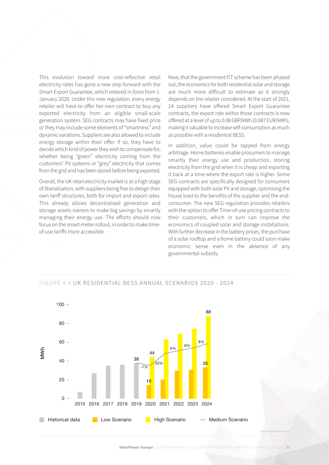This evolution toward more cost-reflective retail electricity rates has gone a new step forward with the Smart Export Guarantee, which entered in force from 1. January 2020. Under this new regulation, every energy retailer will have to offer her own contract to buy any exported electricity from an eligible small-scale generation system. SEG contracts may have fixed price or they may include some elements of "smartness" and dynamic variations. Suppliers are also allowed to include energy storage within their offer. If so, they have to decide which kind of power they wish to compensate for, whether being "green" electricity coming from the customers' PV systems or "grey" electricity that comes from the grid and has been stored before being exported.

Overall, the UK retail electricity market is at a high stage of liberalisation, with suppliers being free to design their own tariff structures, both for import and export rates. This already allows decentralised generation and storage assets owners to make big savings by smartly managing their energy use. The efforts should now focus on the smart-meter rollout, in order to make timeof-use tariffs more accessible.

Now, that the government FIT scheme has been phased out, the economics for both residential solar and storage are much more difficult to estimate as it strongly depends on the retailer considered. At the start of 2021, 14 suppliers have offered Smart Export Guarantee contracts, the export rate within those contracts is now offered at a level of up to 0.08 GBP/kWh (0.087 EUR/kWh), making it valuable to increase self-consumption as much as possible with a residential BESS.

In addition, value could be tapped from energy arbitrage. Home batteries enable prosumers to manage smartly their energy use and production, storing electricity from the grid when it is cheap and exporting it back at a time where the export rate is higher. Some SEG contracts are specifically designed for consumers equipped with both solar PV and storage, optimising the house load to the benefits of the supplier and the endconsumer. The new SEG regulation provides retailers with the option to offer Time-of-use pricing contracts to their customers, which in turn can improve the economics of coupled solar and storage installations. With further decrease in the battery prices, the purchase of a solar rooftop and a home battery could soon make economic sense even in the absence of any governmental subsidy.



#### FIGURE 4.4 UK RESIDENTIAL BESS ANNUAL SCENARIOS 2020 - 2024

**SolarPower Europe** / EUROPEAN MARKET OUTLOOK FOR RESIDENTIAL BATTERY STORAGE 2020-2024 / 35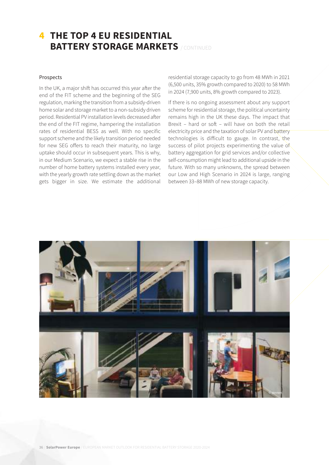## **4 THE TOP 4 EU RESIDENTIAL BATTERY STORAGE MARKETS** / CONTINUED

#### Prospects

In the UK, a major shift has occurred this year after the end of the FIT scheme and the beginning of the SEG regulation, marking the transition from a subsidy-driven home solar and storage market to a non-subsidy driven period. Residential PV installation levels decreased after the end of the FIT regime, hampering the installation rates of residential BESS as well. With no specific support scheme and the likely transition period needed for new SEG offers to reach their maturity, no large uptake should occur in subsequent years. This is why, in our Medium Scenario, we expect a stable rise in the number of home battery systems installed every year, with the yearly growth rate settling down as the market gets bigger in size. We estimate the additional residential storage capacity to go from 48 MWh in 2021 (6,500 units, 35% growth compared to 2020) to 58 MWh in 2024 (7,900 units, 8% growth compared to 2023).

If there is no ongoing assessment about any support scheme for residential storage, the political uncertainty remains high in the UK these days. The impact that Brexit – hard or soft – will have on both the retail electricity price and the taxation of solar PV and battery technologies is difficult to gauge. In contrast, the success of pilot projects experimenting the value of battery aggregation for grid services and/or collective self-consumption might lead to additional upside in the future. With so many unknowns, the spread between our Low and High Scenario in 2024 is large, ranging between 33–88 MWh of new storage capacity.

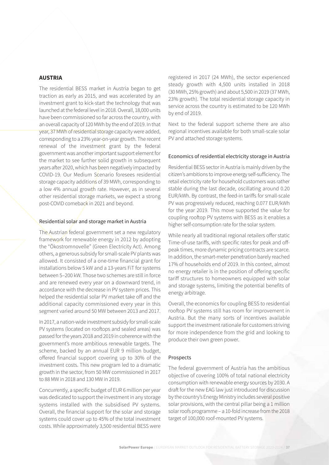#### <span id="page-36-0"></span>**AUSTRIA**

The residential BESS market in Austria began to get traction as early as 2015, and was accelerated by an investment grant to kick-start the technology that was launched at the federal level in 2018. Overall, 18,000 units have been commissioned so far across the country, with an overall capacity of 120 MWh by the end of 2019. In that year, 37 MWh of residential storage capacity were added, corresponding to a 23% year-on-year growth. The recent renewal of the investment grant by the federal government was another important support element for the market to see further solid growth in subsequent years after 2020, which has been negatively impacted by COVID-19. Our Medium Scenario foresees residential storage capacity additions of 39 MWh, corresponding to a low 4% annual growth rate. However, as in several other residential storage markets, we expect a strong post-COVID comeback in 2021 and beyond.

#### Residential solar and storage market in Austria

The Austrian federal government set a new regulatory framework for renewable energy in 2012 by adopting the "Ökostromnovelle" (Green Electricity Act). Among others, a generous subsidy for small-scale PV plants was allowed. It consisted of a one-time financial grant for installations below 5 kW and a 13-years FiT for systems between 5–200 kW. Those two schemes are still in force and are renewed every year on a downward trend, in accordance with the decrease in PV system prices. This helped the residential solar PV market take off and the additional capacity commissioned every year in this segment varied around 50 MW between 2013 and 2017.

In 2017, a nation-wide investment subsidy for small-scale PV systems (located on rooftops and sealed areas) was passed for the years 2018 and 2019 in coherence with the government's more ambitious renewable targets. The scheme, backed by an annual EUR 9 million budget, offered financial support covering up to 30% of the investment costs. This new program led to a dramatic growth in the sector, from 50 MW commissioned in 2017 to 88 MW in 2018 and 130 MW in 2019.

Concurrently, a specific budget of EUR 6 million per year was dedicated to support the investment in any storage systems installed with the subsidised PV systems. Overall, the financial support for the solar and storage systems could cover up to 45% of the total investment costs. While approximately 3,500 residential BESS were

registered in 2017 (24 MWh), the sector experienced steady growth with 4,500 units installed in 2018 (30 MWh, 25% growth) and about 5,500 in 2019 (37 MWh, 23% growth). The total residential storage capacity in service across the country is estimated to be 120 MWh by end of 2019.

Next to the federal support scheme there are also regional incentives available for both small-scale solar PV and attached storage systems.

#### Economics of residential electricity storage in Austria

Residential BESS sector in Austria is mainly driven by the citizen's ambitions to improve energy self-sufficiency. The retail electricity rate for household customers was rather stable during the last decade, oscillating around 0.20 EUR/kWh. By contrast, the feed-in tariffs for small-scale PV was progressively reduced, reaching 0.077 EUR/kWh for the year 2019. This move supported the value for coupling rooftop PV systems with BESS as it enables a higher self-consumption rate for the solar system.

While nearly all traditional regional retailers offer static Time-of-use tariffs, with specific rates for peak and offpeak times, more dynamic pricing contracts are scarce. In addition, the smart-meter penetration barely reached 17% of households end of 2019. In this context, almost no energy retailer is in the position of offering specific tariff structures to homeowners equipped with solar and storage systems, limiting the potential benefits of energy arbitrage.

Overall, the economics for coupling BESS to residential rooftop PV systems still has room for improvement in Austria. But the many sorts of incentives available support the investment rationale for customers striving for more independence from the grid and looking to produce their own green power.

#### Prospects

The federal government of Austria has the ambitious objective of covering 100% of total national electricity consumption with renewable energy sources by 2030. A draft for the new EAG law just introduced for discussion by the country's Energy Ministry includes several positive solar provisions, with the central pillar being a 1 million solar roofs programme – a 10-fold increase from the 2018 target of 100,000 roof-mounted PV systems.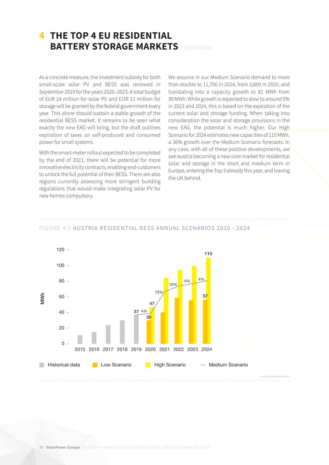## **4 THE TOP 4 EU RESIDENTIAL BATTERY STORAGE MARKETS** / CONTINUED

As a concrete measure, the investment subsidy for both small-scale solar PV and BESS was renewed in September 2019 for the years 2020–2023. A total budget of EUR 24 million for solar PV and EUR 12 million for storage will be granted by the federal government every year. This alone should sustain a stable growth of the residential BESS market. It remains to be seen what exactly the new EAG will bring, but the draft outlines expiration of taxes on self-produced and consumed power for small systems.

With the smart-meter rollout expected to be completed by the end of 2021, there will be potential for more innovative electricity contracts, enabling end-customers to unlock the full potential of their BESS. There are also regions currently assessing more stringent building regulations that would make integrating solar PV for new homes compulsory.

We assume in our Medium Scenario demand to more than double to 11,700 in 2024, from 5,600 in 2020, and translating into a capacity growth to 81 MWh from 39 MWh. While growth is expected to slow to around 5% in 2023 and 2024, this is based on the expiration of the current solar and storage funding. When taking into consideration the solar and storage provisions in the new EAG, the potential is much higher. Our High Scenario for 2024 estimates new capacities of 110 MWh, a 36% growth over the Medium Scenario forecasts. In any case, with all of these positive developments, we see Austria becoming a new core market for residential solar and storage in the short and medium term in Europe, entering the Top 3 already this year, and leaving the UK behind.

#### FIGURE 4.5 AUSTRIA RESIDENTIAL BESS ANNUAL SCENARIOS 2020 - 2024

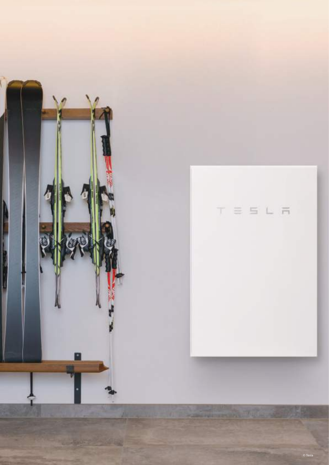